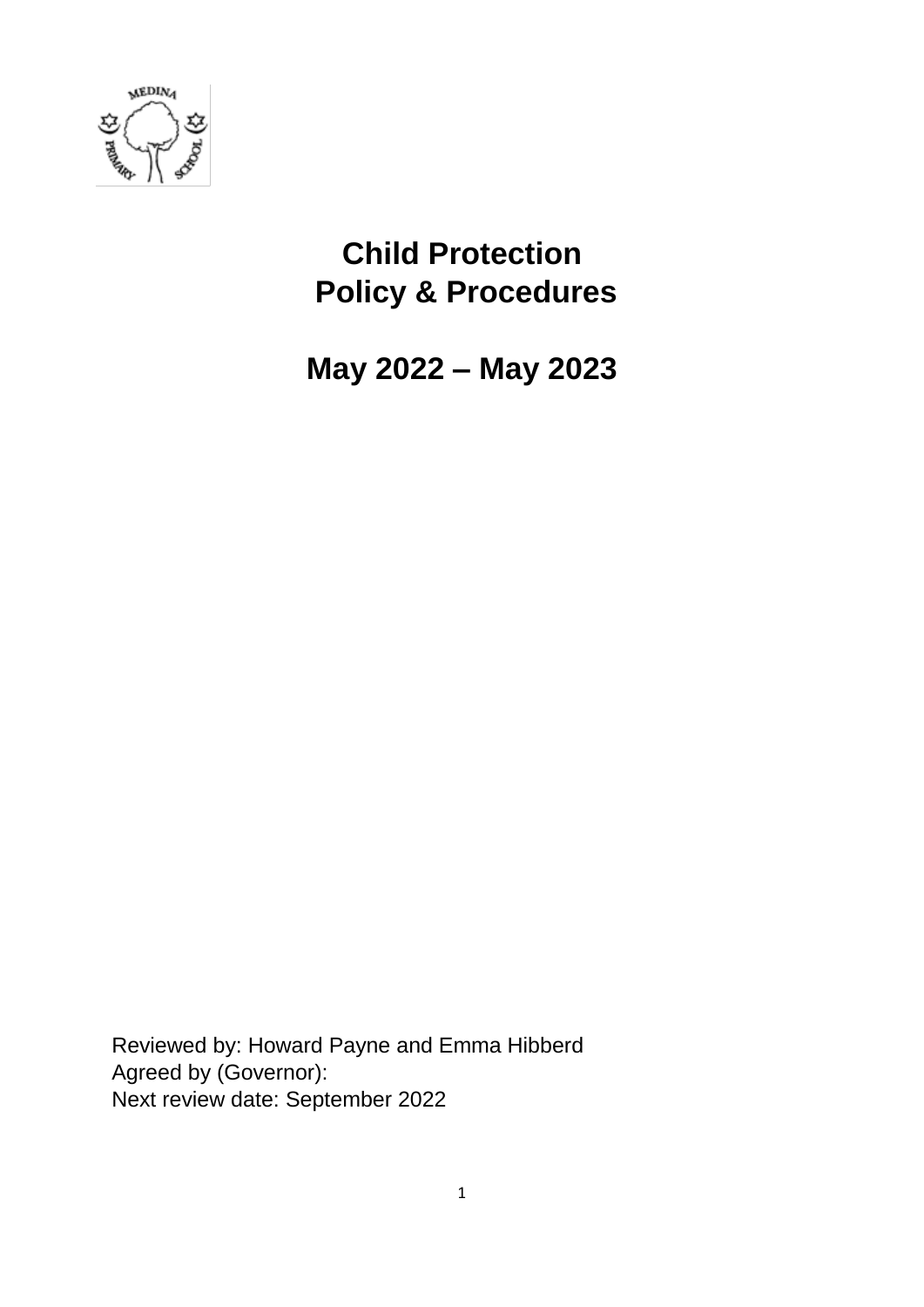

# **Child Protection Policy & Procedures**

**May 2022 – May 2023**

Reviewed by: Howard Payne and Emma Hibberd Agreed by (Governor): Next review date: September 2022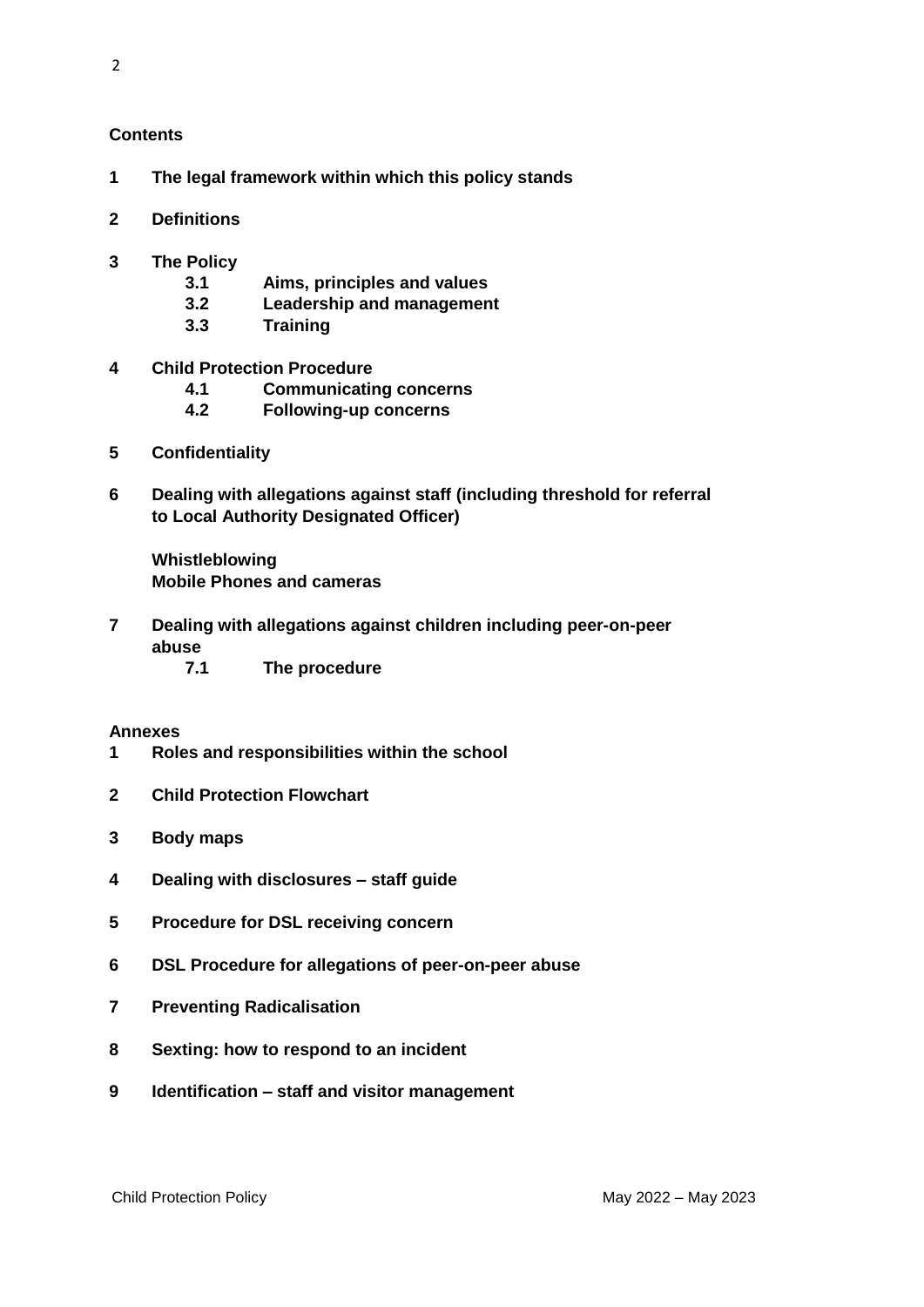#### **Contents**

- **1 The legal framework within which this policy stands**
- **2 Definitions**
- **3 The Policy**
	- **3.1 Aims, principles and values**
	- **3.2 Leadership and management**
	- **3.3 Training**
- **4 Child Protection Procedure**
	- **4.1 Communicating concerns**
	- **4.2 Following-up concerns**
- **5 Confidentiality**
- **6 Dealing with allegations against staff (including threshold for referral to Local Authority Designated Officer)**

 **Whistleblowing Mobile Phones and cameras**

- **7 Dealing with allegations against children including peer-on-peer abuse**
	- **7.1 The procedure**

#### **Annexes**

- **1 Roles and responsibilities within the school**
- **2 Child Protection Flowchart**
- **3 Body maps**
- **4 Dealing with disclosures – staff guide**
- **5 Procedure for DSL receiving concern**
- **6 DSL Procedure for allegations of peer-on-peer abuse**
- **7 Preventing Radicalisation**
- **8 Sexting: how to respond to an incident**
- **9 Identification – staff and visitor management**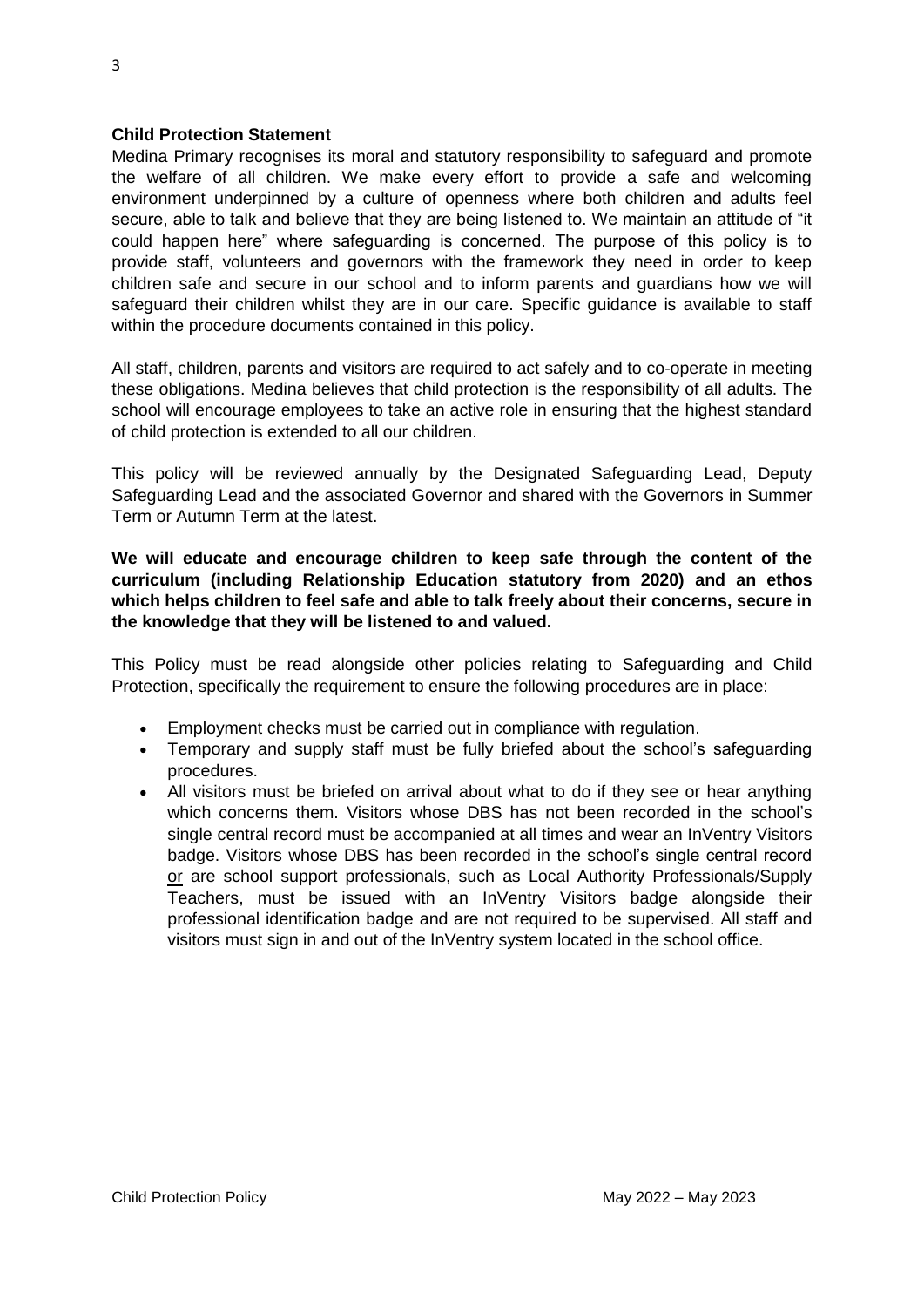# **Child Protection Statement**

Medina Primary recognises its moral and statutory responsibility to safeguard and promote the welfare of all children. We make every effort to provide a safe and welcoming environment underpinned by a culture of openness where both children and adults feel secure, able to talk and believe that they are being listened to. We maintain an attitude of "it could happen here" where safeguarding is concerned. The purpose of this policy is to provide staff, volunteers and governors with the framework they need in order to keep children safe and secure in our school and to inform parents and guardians how we will safeguard their children whilst they are in our care. Specific guidance is available to staff within the procedure documents contained in this policy.

All staff, children, parents and visitors are required to act safely and to co-operate in meeting these obligations. Medina believes that child protection is the responsibility of all adults. The school will encourage employees to take an active role in ensuring that the highest standard of child protection is extended to all our children.

This policy will be reviewed annually by the Designated Safeguarding Lead, Deputy Safeguarding Lead and the associated Governor and shared with the Governors in Summer Term or Autumn Term at the latest.

# **We will educate and encourage children to keep safe through the content of the curriculum (including Relationship Education statutory from 2020) and an ethos which helps children to feel safe and able to talk freely about their concerns, secure in the knowledge that they will be listened to and valued.**

This Policy must be read alongside other policies relating to Safeguarding and Child Protection, specifically the requirement to ensure the following procedures are in place:

- Employment checks must be carried out in compliance with regulation.
- Temporary and supply staff must be fully briefed about the school's safeguarding procedures.
- All visitors must be briefed on arrival about what to do if they see or hear anything which concerns them. Visitors whose DBS has not been recorded in the school's single central record must be accompanied at all times and wear an InVentry Visitors badge. Visitors whose DBS has been recorded in the school's single central record or are school support professionals, such as Local Authority Professionals/Supply Teachers, must be issued with an InVentry Visitors badge alongside their professional identification badge and are not required to be supervised. All staff and visitors must sign in and out of the InVentry system located in the school office.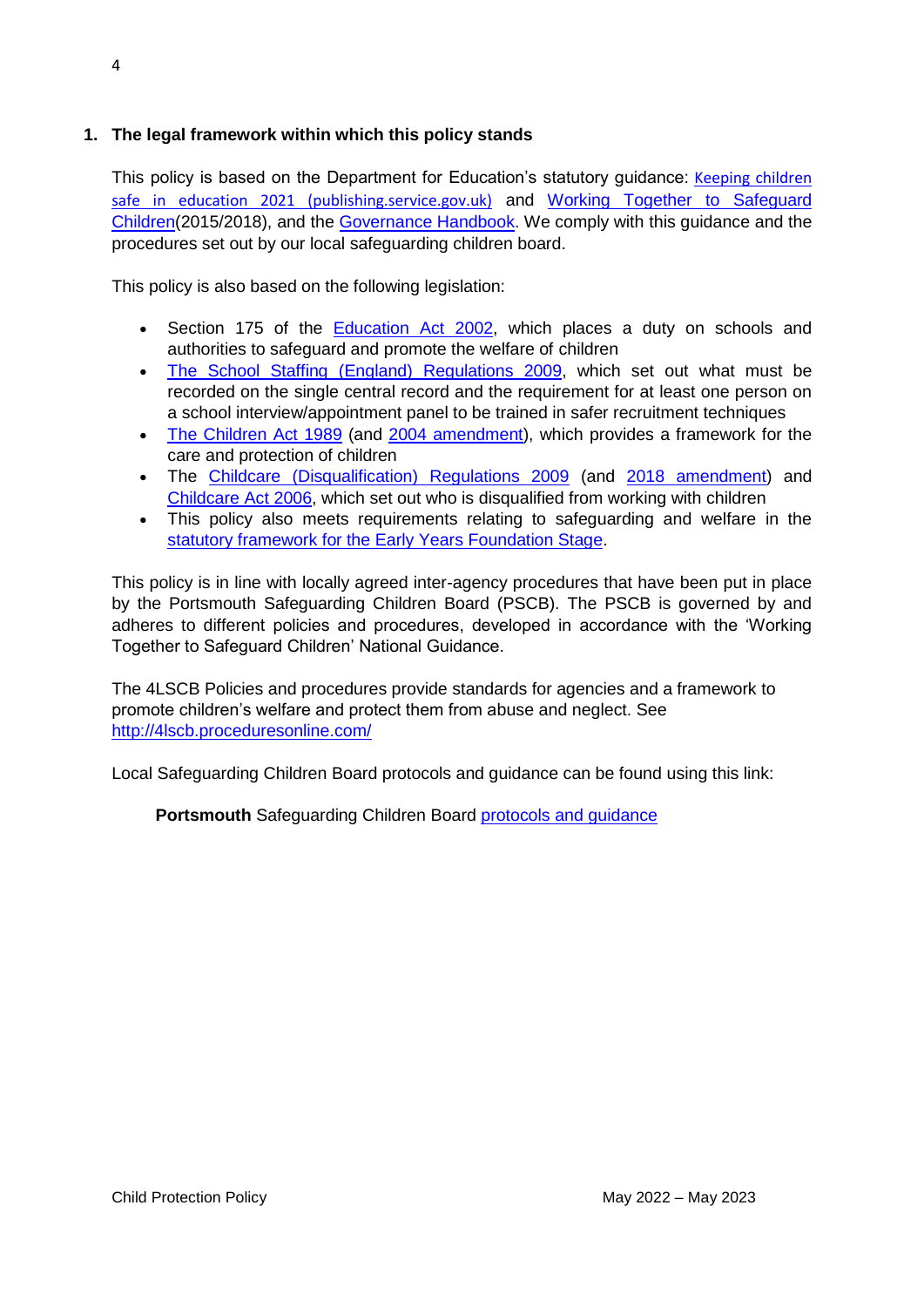# **1. The legal framework within which this policy stands**

This policy is based on the Department for Education's statutory guidance: Keeping children [safe in education 2021 \(publishing.service.gov.uk\)](https://assets.publishing.service.gov.uk/government/uploads/system/uploads/attachment_data/file/1021914/KCSIE_2021_September_guidance.pdf) and [Working Together to Safeguard](https://www.gov.uk/government/publications/working-together-to-safeguard-children--2)  [Children\(](https://www.gov.uk/government/publications/working-together-to-safeguard-children--2)2015/2018), and the [Governance Handbook.](https://www.gov.uk/government/publications/governance-handbook) We comply with this guidance and the procedures set out by our local safeguarding children board.

This policy is also based on the following legislation:

- Section 175 of the **Education Act 2002**, which places a duty on schools and authorities to safeguard and promote the welfare of children
- [The School Staffing \(England\) Regulations 2009,](http://www.legislation.gov.uk/uksi/2009/2680/contents/made) which set out what must be recorded on the single central record and the requirement for at least one person on a school interview/appointment panel to be trained in safer recruitment techniques
- [The Children Act 1989](http://www.legislation.gov.uk/ukpga/1989/41) (and [2004 amendment\)](http://www.legislation.gov.uk/ukpga/2004/31/contents), which provides a framework for the care and protection of children
- The [Childcare \(Disqualification\) Regulations 2009](http://www.legislation.gov.uk/uksi/2009/1547/pdfs/uksi_20091547_en.pdf) (and [2018 amendment\)](http://www.legislation.gov.uk/uksi/2018/794/contents/made) and [Childcare Act 2006,](http://www.legislation.gov.uk/ukpga/2006/21/contents) which set out who is disqualified from working with children
- This policy also meets requirements relating to safeguarding and welfare in the [statutory framework for the Early Years Foundation Stage.](https://www.gov.uk/government/publications/early-years-foundation-stage-framework--2)

This policy is in line with locally agreed inter-agency procedures that have been put in place by the Portsmouth Safeguarding Children Board (PSCB). The PSCB is governed by and adheres to different policies and procedures, developed in accordance with the 'Working Together to Safeguard Children' National Guidance.

The 4LSCB Policies and procedures provide standards for agencies and a framework to promote children's welfare and protect them from abuse and neglect. See <http://4lscb.proceduresonline.com/>

Local Safeguarding Children Board protocols and guidance can be found using this link:

**Portsmouth** Safeguarding Children Board [protocols and guidance](http://www.portsmouthscb.org.uk/professionals/resources-for-frontline-professional/)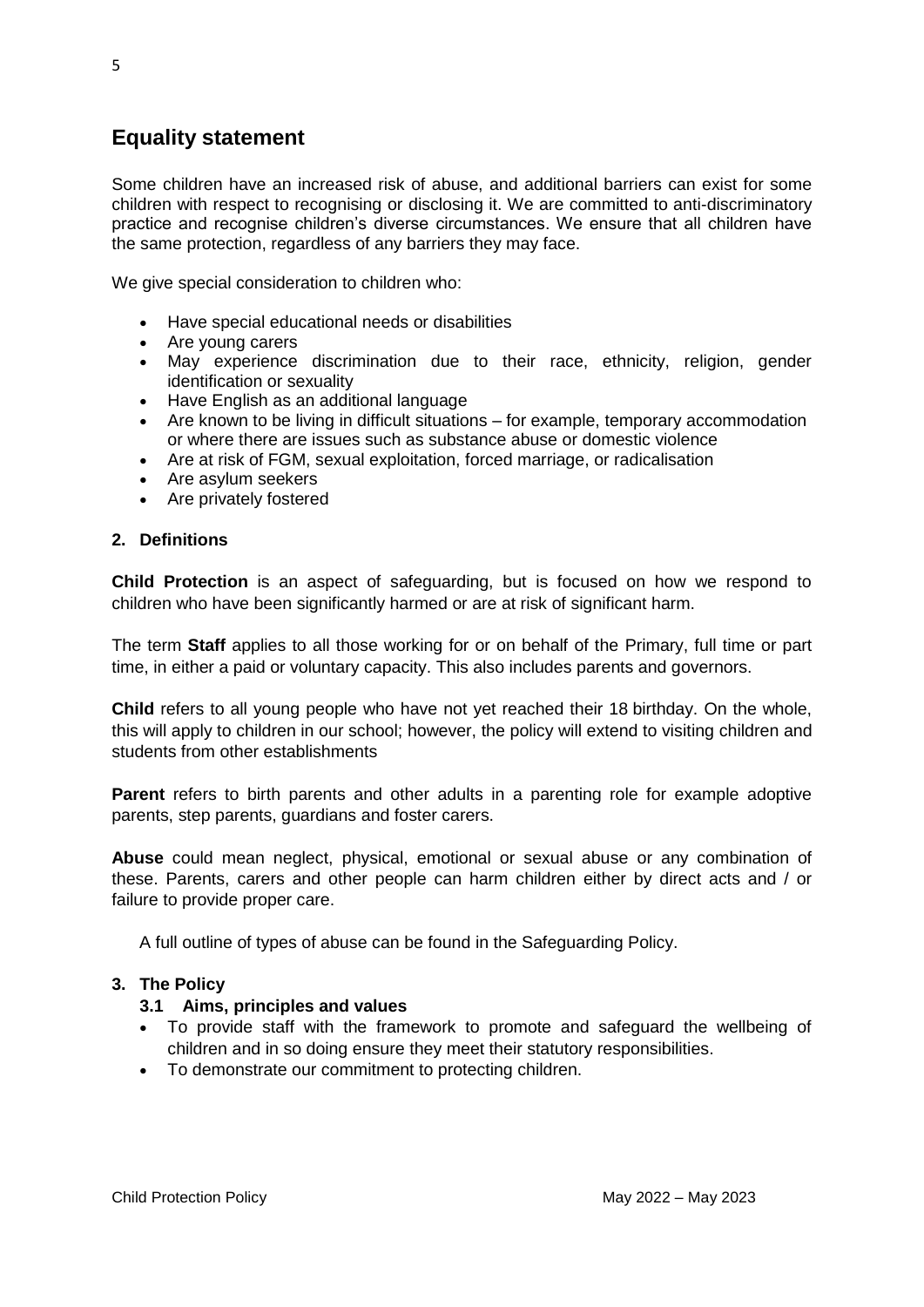# **Equality statement**

Some children have an increased risk of abuse, and additional barriers can exist for some children with respect to recognising or disclosing it. We are committed to anti-discriminatory practice and recognise children's diverse circumstances. We ensure that all children have the same protection, regardless of any barriers they may face.

We give special consideration to children who:

- Have special educational needs or disabilities
- Are young carers
- May experience discrimination due to their race, ethnicity, religion, gender identification or sexuality
- Have English as an additional language
- Are known to be living in difficult situations for example, temporary accommodation or where there are issues such as substance abuse or domestic violence
- Are at risk of FGM, sexual exploitation, forced marriage, or radicalisation
- Are asylum seekers
- Are privately fostered

#### **2. Definitions**

**Child Protection** is an aspect of safeguarding, but is focused on how we respond to children who have been significantly harmed or are at risk of significant harm.

The term **Staff** applies to all those working for or on behalf of the Primary, full time or part time, in either a paid or voluntary capacity. This also includes parents and governors.

**Child** refers to all young people who have not yet reached their 18 birthday. On the whole, this will apply to children in our school; however, the policy will extend to visiting children and students from other establishments

**Parent** refers to birth parents and other adults in a parenting role for example adoptive parents, step parents, guardians and foster carers.

**Abuse** could mean neglect, physical, emotional or sexual abuse or any combination of these. Parents, carers and other people can harm children either by direct acts and / or failure to provide proper care.

A full outline of types of abuse can be found in the Safeguarding Policy.

# **3. The Policy**

#### **3.1 Aims, principles and values**

- To provide staff with the framework to promote and safeguard the wellbeing of children and in so doing ensure they meet their statutory responsibilities.
- To demonstrate our commitment to protecting children.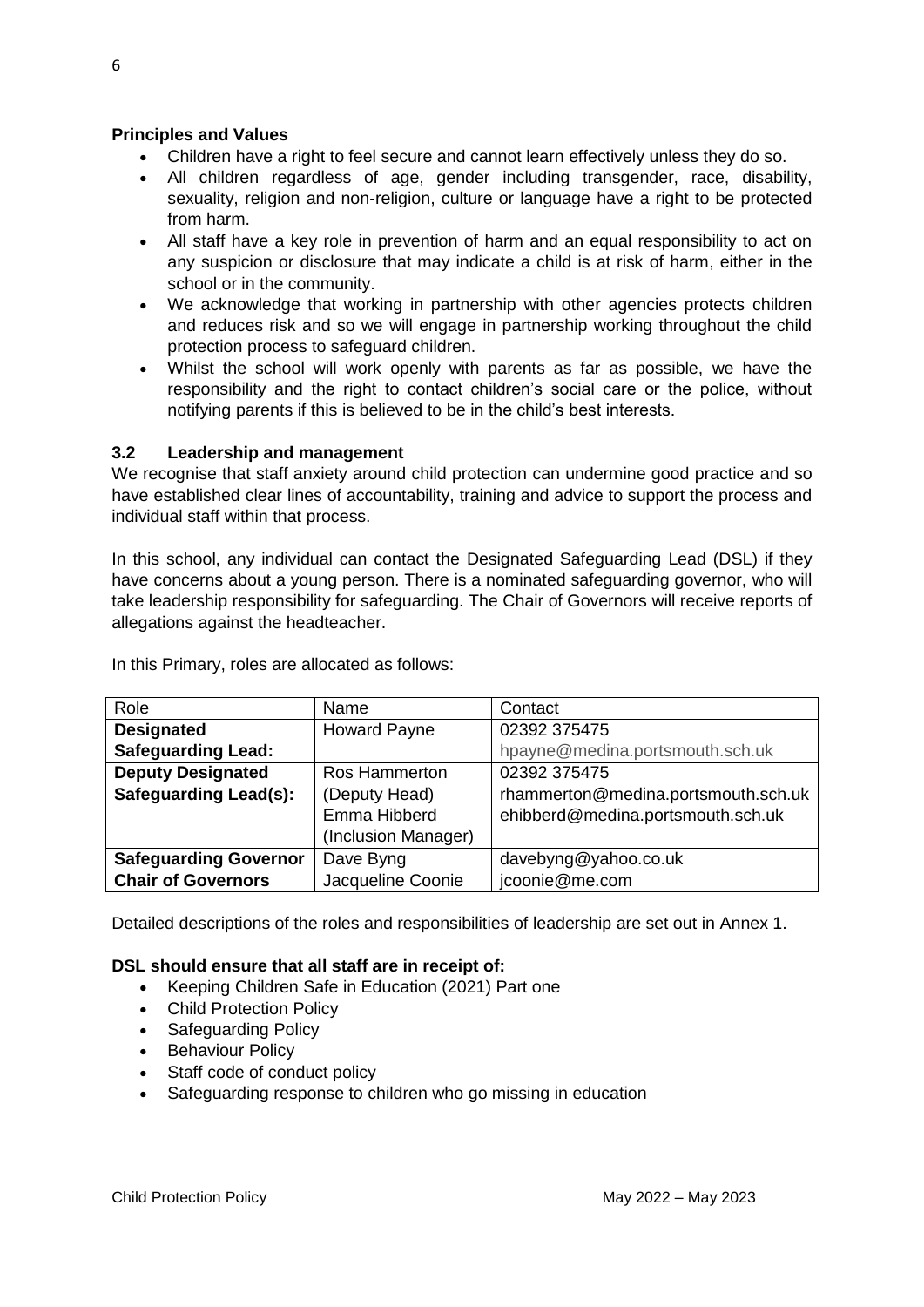# **Principles and Values**

- Children have a right to feel secure and cannot learn effectively unless they do so.
- All children regardless of age, gender including transgender, race, disability, sexuality, religion and non-religion, culture or language have a right to be protected from harm.
- All staff have a key role in prevention of harm and an equal responsibility to act on any suspicion or disclosure that may indicate a child is at risk of harm, either in the school or in the community.
- We acknowledge that working in partnership with other agencies protects children and reduces risk and so we will engage in partnership working throughout the child protection process to safeguard children.
- Whilst the school will work openly with parents as far as possible, we have the responsibility and the right to contact children's social care or the police, without notifying parents if this is believed to be in the child's best interests.

# **3.2 Leadership and management**

We recognise that staff anxiety around child protection can undermine good practice and so have established clear lines of accountability, training and advice to support the process and individual staff within that process.

In this school, any individual can contact the Designated Safeguarding Lead (DSL) if they have concerns about a young person. There is a nominated safeguarding governor, who will take leadership responsibility for safeguarding. The Chair of Governors will receive reports of allegations against the headteacher.

| Role                         | Name                 | Contact                             |
|------------------------------|----------------------|-------------------------------------|
| <b>Designated</b>            | <b>Howard Payne</b>  | 02392 375475                        |
| <b>Safeguarding Lead:</b>    |                      | hpayne@medina.portsmouth.sch.uk     |
| <b>Deputy Designated</b>     | <b>Ros Hammerton</b> | 02392 375475                        |
| <b>Safeguarding Lead(s):</b> | (Deputy Head)        | rhammerton@medina.portsmouth.sch.uk |
|                              | Emma Hibberd         | ehibberd@medina.portsmouth.sch.uk   |
|                              | (Inclusion Manager)  |                                     |
| <b>Safeguarding Governor</b> | Dave Byng            | davebyng@yahoo.co.uk                |
| <b>Chair of Governors</b>    | Jacqueline Coonie    | jcoonie@me.com                      |

In this Primary, roles are allocated as follows:

Detailed descriptions of the roles and responsibilities of leadership are set out in Annex 1.

# **DSL should ensure that all staff are in receipt of:**

- Keeping Children Safe in Education (2021) Part one
- Child Protection Policy
- Safeguarding Policy
- Behaviour Policy
- Staff code of conduct policy
- Safeguarding response to children who go missing in education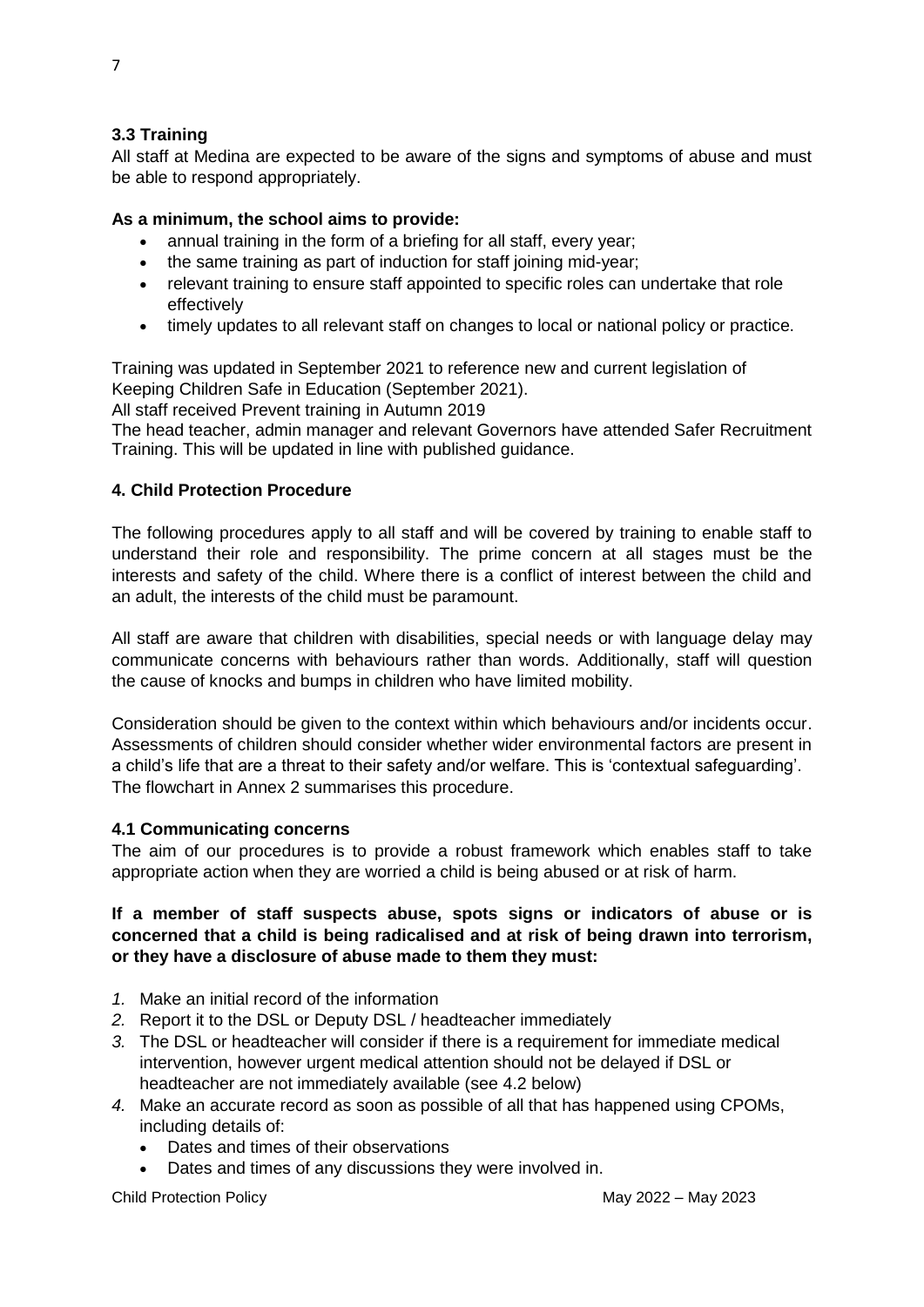#### **3.3 Training**

All staff at Medina are expected to be aware of the signs and symptoms of abuse and must be able to respond appropriately.

#### **As a minimum, the school aims to provide:**

- annual training in the form of a briefing for all staff, every year;
- the same training as part of induction for staff joining mid-year;
- relevant training to ensure staff appointed to specific roles can undertake that role effectively
- timely updates to all relevant staff on changes to local or national policy or practice.

Training was updated in September 2021 to reference new and current legislation of Keeping Children Safe in Education (September 2021).

All staff received Prevent training in Autumn 2019

The head teacher, admin manager and relevant Governors have attended Safer Recruitment Training. This will be updated in line with published guidance.

#### **4. Child Protection Procedure**

The following procedures apply to all staff and will be covered by training to enable staff to understand their role and responsibility. The prime concern at all stages must be the interests and safety of the child. Where there is a conflict of interest between the child and an adult, the interests of the child must be paramount.

All staff are aware that children with disabilities, special needs or with language delay may communicate concerns with behaviours rather than words. Additionally, staff will question the cause of knocks and bumps in children who have limited mobility.

Consideration should be given to the context within which behaviours and/or incidents occur. Assessments of children should consider whether wider environmental factors are present in a child's life that are a threat to their safety and/or welfare. This is 'contextual safeguarding'. The flowchart in Annex 2 summarises this procedure.

#### **4.1 Communicating concerns**

The aim of our procedures is to provide a robust framework which enables staff to take appropriate action when they are worried a child is being abused or at risk of harm.

# **If a member of staff suspects abuse, spots signs or indicators of abuse or is concerned that a child is being radicalised and at risk of being drawn into terrorism, or they have a disclosure of abuse made to them they must:**

- *1.* Make an initial record of the information
- *2.* Report it to the DSL or Deputy DSL / headteacher immediately
- *3.* The DSL or headteacher will consider if there is a requirement for immediate medical intervention, however urgent medical attention should not be delayed if DSL or headteacher are not immediately available (see 4.2 below)
- *4.* Make an accurate record as soon as possible of all that has happened using CPOMs, including details of:
	- Dates and times of their observations
	- Dates and times of any discussions they were involved in.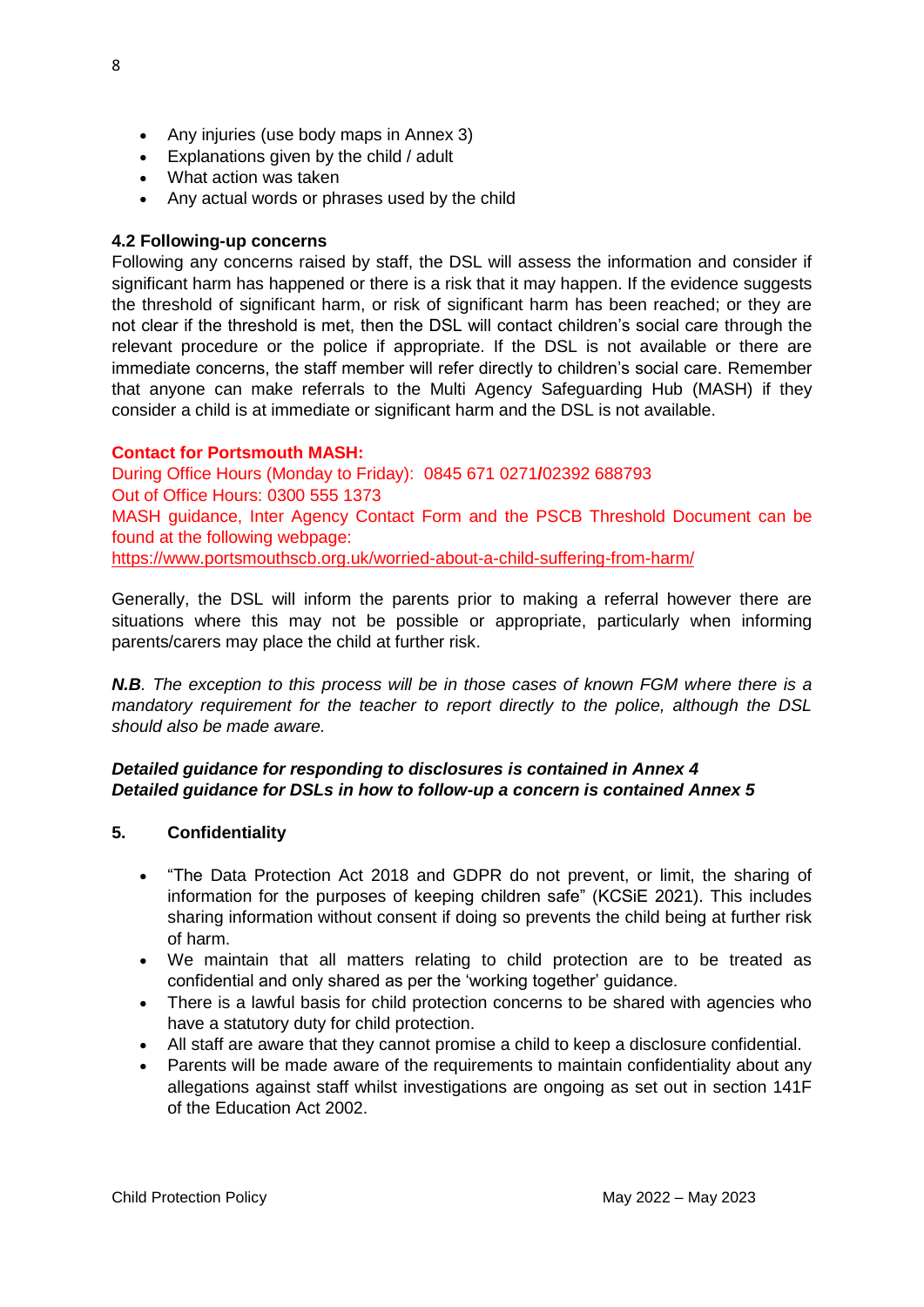- Any injuries (use body maps in Annex 3)
- Explanations given by the child / adult
- What action was taken
- Any actual words or phrases used by the child

# **4.2 Following-up concerns**

Following any concerns raised by staff, the DSL will assess the information and consider if significant harm has happened or there is a risk that it may happen. If the evidence suggests the threshold of significant harm, or risk of significant harm has been reached; or they are not clear if the threshold is met, then the DSL will contact children's social care through the relevant procedure or the police if appropriate. If the DSL is not available or there are immediate concerns, the staff member will refer directly to children's social care. Remember that anyone can make referrals to the Multi Agency Safeguarding Hub (MASH) if they consider a child is at immediate or significant harm and the DSL is not available.

# **Contact for Portsmouth MASH:**

During Office Hours (Monday to Friday): 0845 671 0271**/**02392 688793 Out of Office Hours: 0300 555 1373 MASH guidance, Inter Agency Contact Form and the PSCB Threshold Document can be found at the following webpage:

<https://www.portsmouthscb.org.uk/worried-about-a-child-suffering-from-harm/>

Generally, the DSL will inform the parents prior to making a referral however there are situations where this may not be possible or appropriate, particularly when informing parents/carers may place the child at further risk.

*N.B. The exception to this process will be in those cases of known FGM where there is a mandatory requirement for the teacher to report directly to the police, although the DSL should also be made aware.*

# *Detailed guidance for responding to disclosures is contained in Annex 4 Detailed guidance for DSLs in how to follow-up a concern is contained Annex 5*

# **5. Confidentiality**

- "The Data Protection Act 2018 and GDPR do not prevent, or limit, the sharing of information for the purposes of keeping children safe" (KCSiE 2021). This includes sharing information without consent if doing so prevents the child being at further risk of harm.
- We maintain that all matters relating to child protection are to be treated as confidential and only shared as per the 'working together' guidance.
- There is a lawful basis for child protection concerns to be shared with agencies who have a statutory duty for child protection.
- All staff are aware that they cannot promise a child to keep a disclosure confidential.
- Parents will be made aware of the requirements to maintain confidentiality about any allegations against staff whilst investigations are ongoing as set out in section 141F of the Education Act 2002.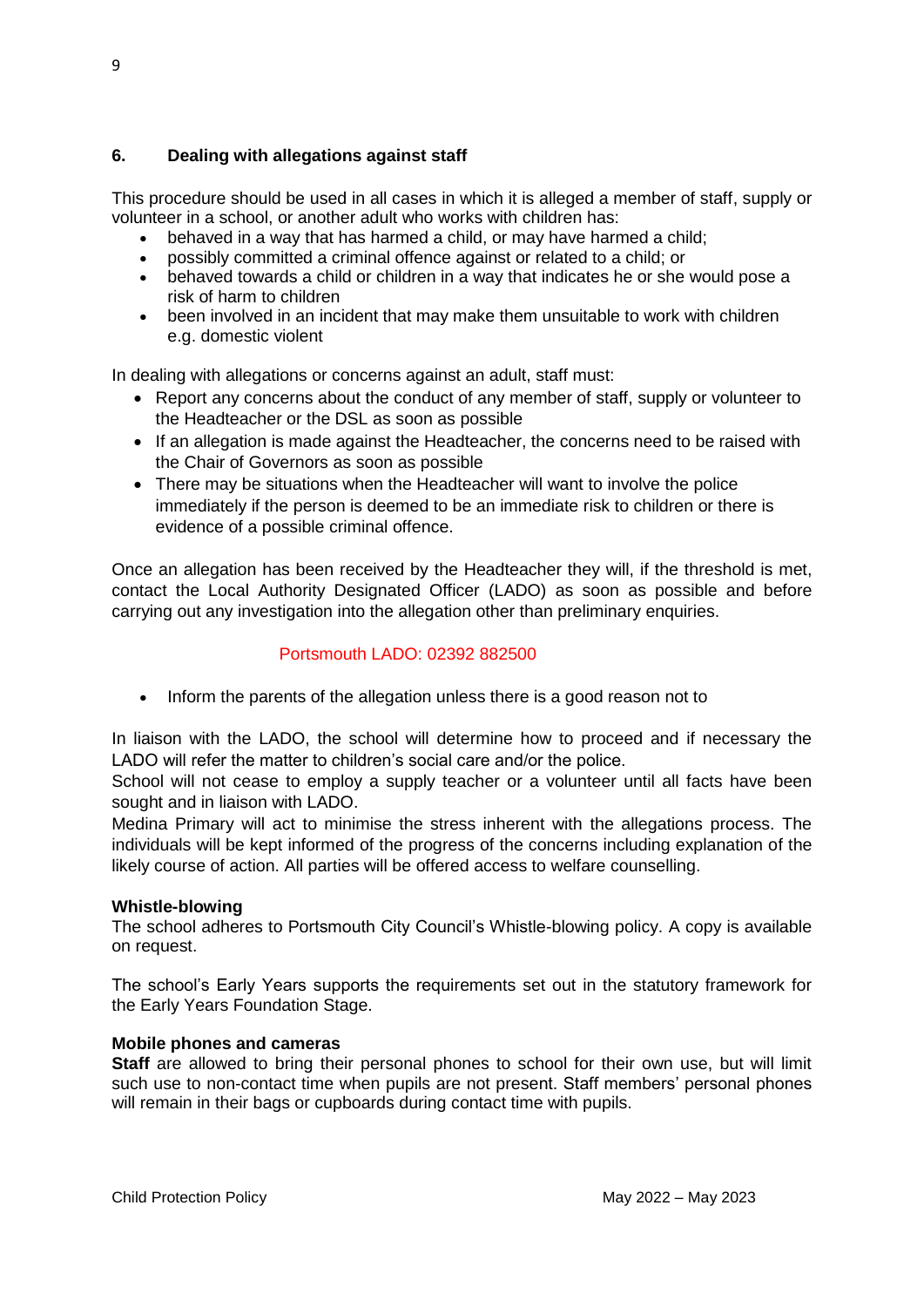# **6. Dealing with allegations against staff**

This procedure should be used in all cases in which it is alleged a member of staff, supply or volunteer in a school, or another adult who works with children has:

- behaved in a way that has harmed a child, or may have harmed a child;
- possibly committed a criminal offence against or related to a child; or
- behaved towards a child or children in a way that indicates he or she would pose a risk of harm to children
- been involved in an incident that may make them unsuitable to work with children e.g. domestic violent

In dealing with allegations or concerns against an adult, staff must:

- Report any concerns about the conduct of any member of staff, supply or volunteer to the Headteacher or the DSL as soon as possible
- If an allegation is made against the Headteacher, the concerns need to be raised with the Chair of Governors as soon as possible
- There may be situations when the Headteacher will want to involve the police immediately if the person is deemed to be an immediate risk to children or there is evidence of a possible criminal offence.

Once an allegation has been received by the Headteacher they will, if the threshold is met, contact the Local Authority Designated Officer (LADO) as soon as possible and before carrying out any investigation into the allegation other than preliminary enquiries.

# Portsmouth LADO: 02392 882500

• Inform the parents of the allegation unless there is a good reason not to

In liaison with the LADO, the school will determine how to proceed and if necessary the LADO will refer the matter to children's social care and/or the police.

School will not cease to employ a supply teacher or a volunteer until all facts have been sought and in liaison with LADO.

Medina Primary will act to minimise the stress inherent with the allegations process. The individuals will be kept informed of the progress of the concerns including explanation of the likely course of action. All parties will be offered access to welfare counselling.

#### **Whistle-blowing**

The school adheres to Portsmouth City Council's Whistle-blowing policy. A copy is available on request.

The school's Early Years supports the requirements set out in the statutory framework for the Early Years Foundation Stage.

#### **Mobile phones and cameras**

**Staff** are allowed to bring their personal phones to school for their own use, but will limit such use to non-contact time when pupils are not present. Staff members' personal phones will remain in their bags or cupboards during contact time with pupils.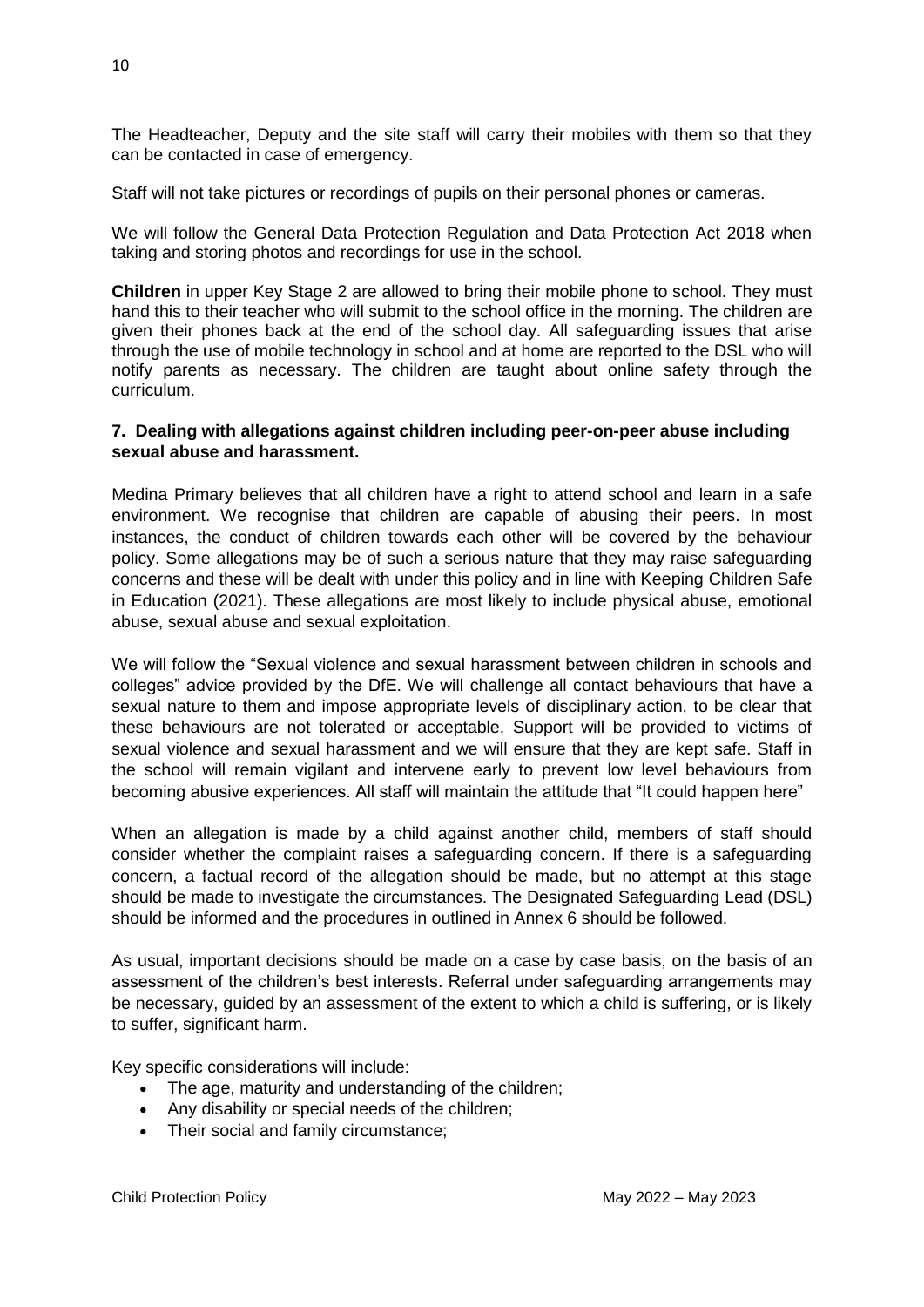The Headteacher, Deputy and the site staff will carry their mobiles with them so that they can be contacted in case of emergency.

Staff will not take pictures or recordings of pupils on their personal phones or cameras.

We will follow the General Data Protection Regulation and Data Protection Act 2018 when taking and storing photos and recordings for use in the school.

**Children** in upper Key Stage 2 are allowed to bring their mobile phone to school. They must hand this to their teacher who will submit to the school office in the morning. The children are given their phones back at the end of the school day. All safeguarding issues that arise through the use of mobile technology in school and at home are reported to the DSL who will notify parents as necessary. The children are taught about online safety through the curriculum.

#### **7. Dealing with allegations against children including peer-on-peer abuse including sexual abuse and harassment.**

Medina Primary believes that all children have a right to attend school and learn in a safe environment. We recognise that children are capable of abusing their peers. In most instances, the conduct of children towards each other will be covered by the behaviour policy. Some allegations may be of such a serious nature that they may raise safeguarding concerns and these will be dealt with under this policy and in line with Keeping Children Safe in Education (2021). These allegations are most likely to include physical abuse, emotional abuse, sexual abuse and sexual exploitation.

We will follow the "Sexual violence and sexual harassment between children in schools and colleges" advice provided by the DfE. We will challenge all contact behaviours that have a sexual nature to them and impose appropriate levels of disciplinary action, to be clear that these behaviours are not tolerated or acceptable. Support will be provided to victims of sexual violence and sexual harassment and we will ensure that they are kept safe. Staff in the school will remain vigilant and intervene early to prevent low level behaviours from becoming abusive experiences. All staff will maintain the attitude that "It could happen here"

When an allegation is made by a child against another child, members of staff should consider whether the complaint raises a safeguarding concern. If there is a safeguarding concern, a factual record of the allegation should be made, but no attempt at this stage should be made to investigate the circumstances. The Designated Safeguarding Lead (DSL) should be informed and the procedures in outlined in Annex 6 should be followed.

As usual, important decisions should be made on a case by case basis, on the basis of an assessment of the children's best interests. Referral under safeguarding arrangements may be necessary, guided by an assessment of the extent to which a child is suffering, or is likely to suffer, significant harm.

Key specific considerations will include:

- The age, maturity and understanding of the children;
- Any disability or special needs of the children;
- Their social and family circumstance;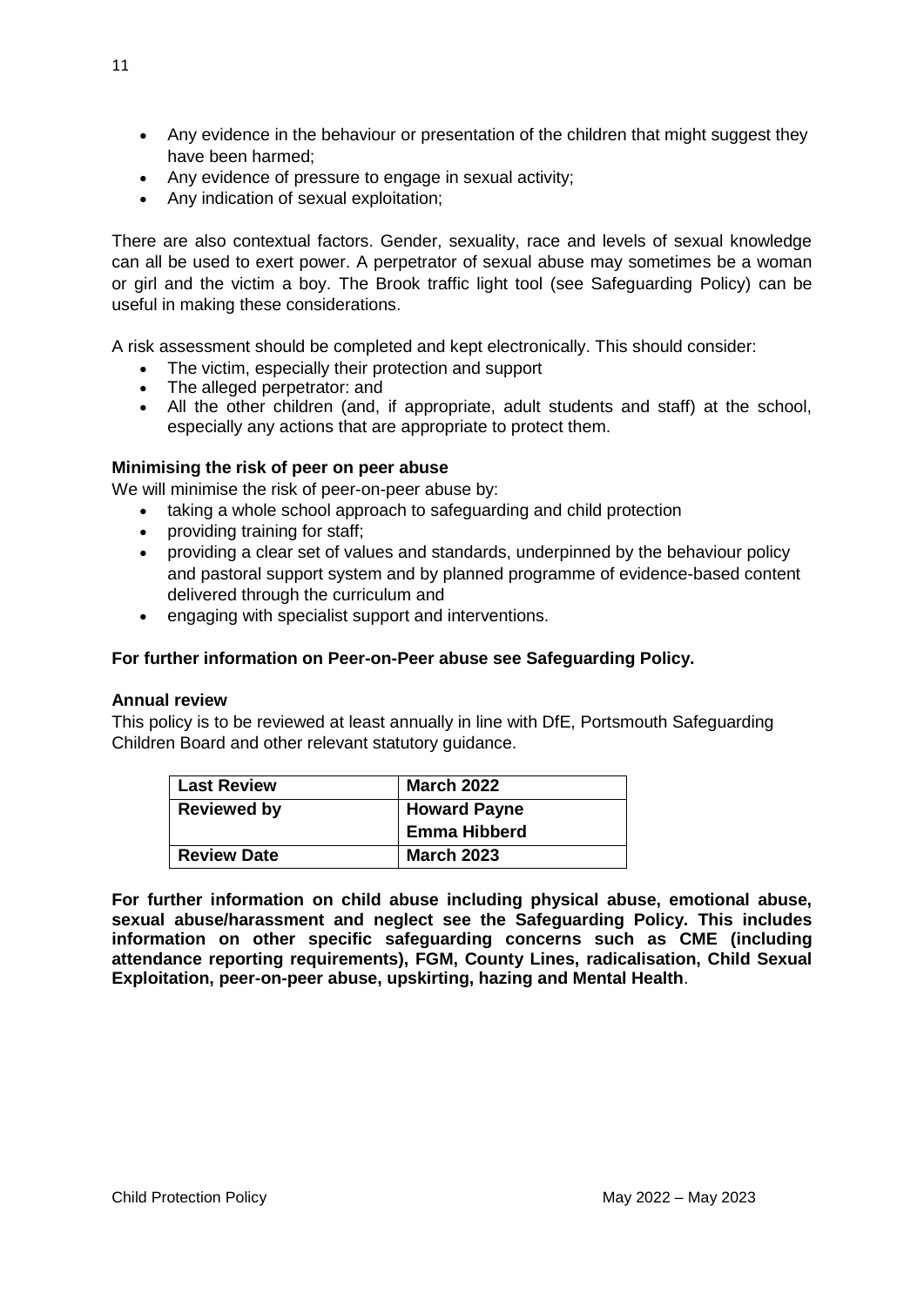- Any evidence in the behaviour or presentation of the children that might suggest they have been harmed;
- Any evidence of pressure to engage in sexual activity;
- Any indication of sexual exploitation;

There are also contextual factors. Gender, sexuality, race and levels of sexual knowledge can all be used to exert power. A perpetrator of sexual abuse may sometimes be a woman or girl and the victim a boy. The Brook traffic light tool (see Safeguarding Policy) can be useful in making these considerations.

A risk assessment should be completed and kept electronically. This should consider:

- The victim, especially their protection and support
- The alleged perpetrator: and
- All the other children (and, if appropriate, adult students and staff) at the school, especially any actions that are appropriate to protect them.

#### **Minimising the risk of peer on peer abuse**

We will minimise the risk of peer-on-peer abuse by:

- taking a whole school approach to safeguarding and child protection
- providing training for staff;
- providing a clear set of values and standards, underpinned by the behaviour policy and pastoral support system and by planned programme of evidence-based content delivered through the curriculum and
- engaging with specialist support and interventions.

#### **For further information on Peer-on-Peer abuse see Safeguarding Policy.**

#### **Annual review**

This policy is to be reviewed at least annually in line with DfE, Portsmouth Safeguarding Children Board and other relevant statutory guidance.

| l Last Review      | <b>March 2022</b>   |
|--------------------|---------------------|
| <b>Reviewed by</b> | <b>Howard Payne</b> |
|                    | Emma Hibberd        |
| <b>Review Date</b> | <b>March 2023</b>   |

**For further information on child abuse including physical abuse, emotional abuse, sexual abuse/harassment and neglect see the Safeguarding Policy. This includes information on other specific safeguarding concerns such as CME (including attendance reporting requirements), FGM, County Lines, radicalisation, Child Sexual Exploitation, peer-on-peer abuse, upskirting, hazing and Mental Health**.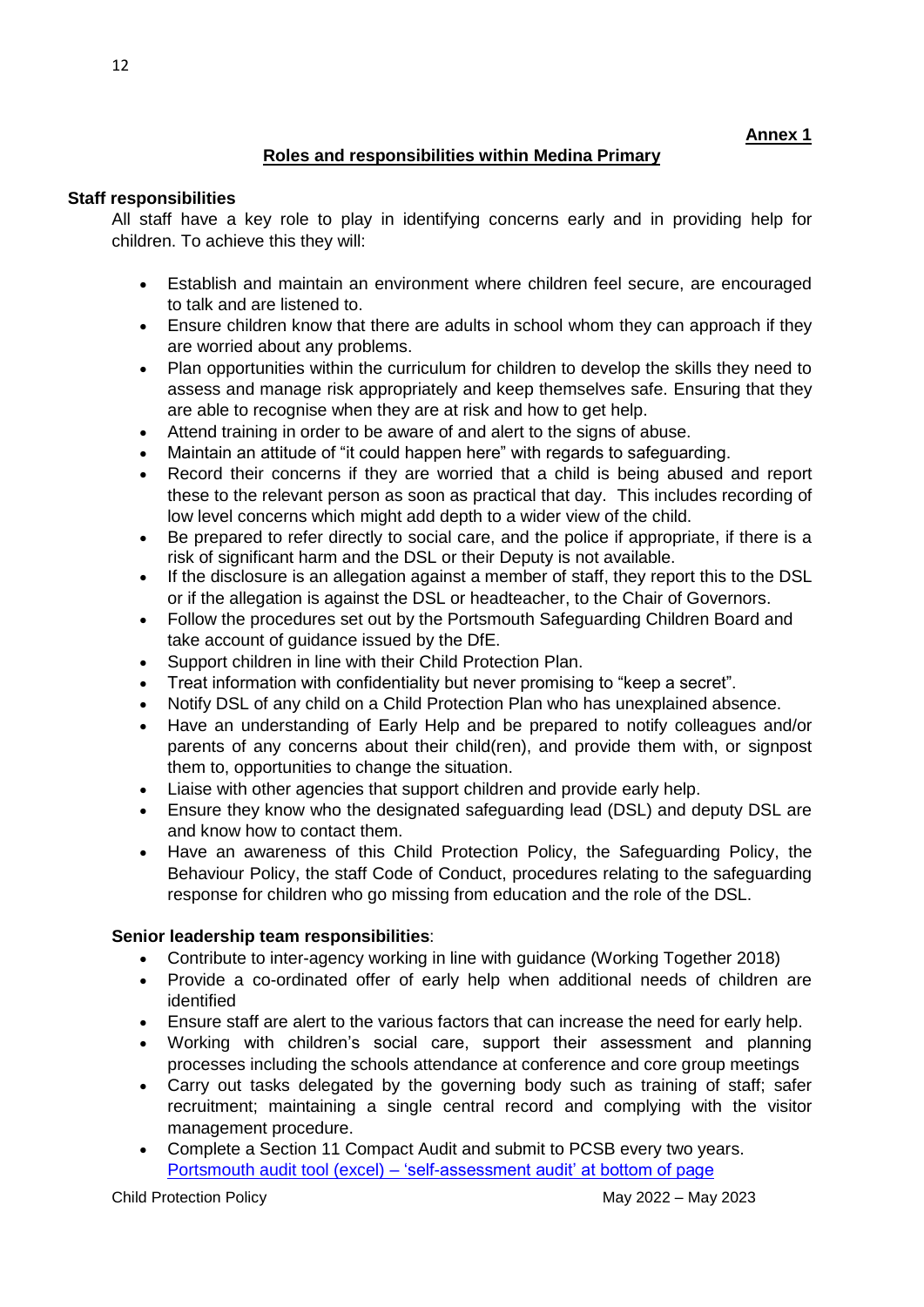# **Roles and responsibilities within Medina Primary**

#### **Staff responsibilities**

All staff have a key role to play in identifying concerns early and in providing help for children. To achieve this they will:

- Establish and maintain an environment where children feel secure, are encouraged to talk and are listened to.
- Ensure children know that there are adults in school whom they can approach if they are worried about any problems.
- Plan opportunities within the curriculum for children to develop the skills they need to assess and manage risk appropriately and keep themselves safe. Ensuring that they are able to recognise when they are at risk and how to get help.
- Attend training in order to be aware of and alert to the signs of abuse.
- Maintain an attitude of "it could happen here" with regards to safeguarding.
- Record their concerns if they are worried that a child is being abused and report these to the relevant person as soon as practical that day. This includes recording of low level concerns which might add depth to a wider view of the child.
- Be prepared to refer directly to social care, and the police if appropriate, if there is a risk of significant harm and the DSL or their Deputy is not available.
- If the disclosure is an allegation against a member of staff, they report this to the DSL or if the allegation is against the DSL or headteacher, to the Chair of Governors.
- Follow the procedures set out by the Portsmouth Safeguarding Children Board and take account of guidance issued by the DfE.
- Support children in line with their Child Protection Plan.
- Treat information with confidentiality but never promising to "keep a secret".
- Notify DSL of any child on a Child Protection Plan who has unexplained absence.
- Have an understanding of Early Help and be prepared to notify colleagues and/or parents of any concerns about their child(ren), and provide them with, or signpost them to, opportunities to change the situation.
- Liaise with other agencies that support children and provide early help.
- Ensure they know who the designated safeguarding lead (DSL) and deputy DSL are and know how to contact them.
- Have an awareness of this Child Protection Policy, the Safeguarding Policy, the Behaviour Policy, the staff Code of Conduct, procedures relating to the safeguarding response for children who go missing from education and the role of the DSL.

# **Senior leadership team responsibilities**:

- Contribute to inter-agency working in line with guidance (Working Together 2018)
- Provide a co-ordinated offer of early help when additional needs of children are identified
- Ensure staff are alert to the various factors that can increase the need for early help.
- Working with children's social care, support their assessment and planning processes including the schools attendance at conference and core group meetings
- Carry out tasks delegated by the governing body such as training of staff; safer recruitment; maintaining a single central record and complying with the visitor management procedure.
- Complete a Section 11 Compact Audit and submit to PCSB every two years. Portsmouth audit tool (excel) – ['self-assessment audit' at bottom of page](http://www.portsmouthscb.org.uk/professionals/tools-for-audit-and-reviews/)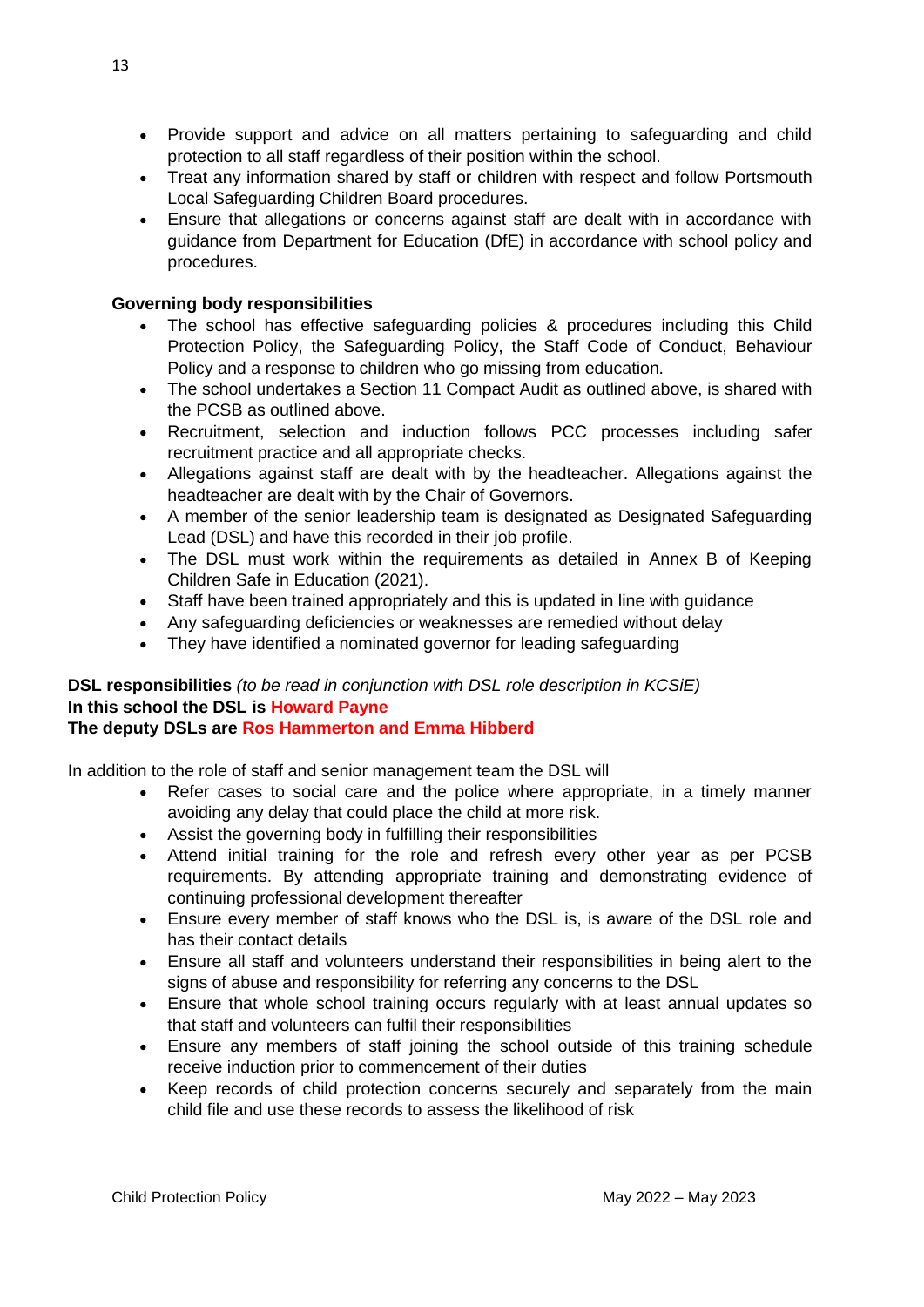- Provide support and advice on all matters pertaining to safeguarding and child protection to all staff regardless of their position within the school.
- Treat any information shared by staff or children with respect and follow Portsmouth Local Safeguarding Children Board procedures.
- Ensure that allegations or concerns against staff are dealt with in accordance with guidance from Department for Education (DfE) in accordance with school policy and procedures.

# **Governing body responsibilities**

- The school has effective safeguarding policies & procedures including this Child Protection Policy, the Safeguarding Policy, the Staff Code of Conduct, Behaviour Policy and a response to children who go missing from education.
- The school undertakes a Section 11 Compact Audit as outlined above, is shared with the PCSB as outlined above.
- Recruitment, selection and induction follows PCC processes including safer recruitment practice and all appropriate checks.
- Allegations against staff are dealt with by the headteacher. Allegations against the headteacher are dealt with by the Chair of Governors.
- A member of the senior leadership team is designated as Designated Safeguarding Lead (DSL) and have this recorded in their job profile.
- The DSL must work within the requirements as detailed in Annex B of Keeping Children Safe in Education (2021).
- Staff have been trained appropriately and this is updated in line with guidance
- Any safeguarding deficiencies or weaknesses are remedied without delay
- They have identified a nominated governor for leading safeguarding

# **DSL responsibilities** *(to be read in conjunction with DSL role description in KCSiE)* **In this school the DSL is Howard Payne The deputy DSLs are Ros Hammerton and Emma Hibberd**

In addition to the role of staff and senior management team the DSL will

- Refer cases to social care and the police where appropriate, in a timely manner avoiding any delay that could place the child at more risk.
- Assist the governing body in fulfilling their responsibilities
- Attend initial training for the role and refresh every other year as per PCSB requirements. By attending appropriate training and demonstrating evidence of continuing professional development thereafter
- Ensure every member of staff knows who the DSL is, is aware of the DSL role and has their contact details
- Ensure all staff and volunteers understand their responsibilities in being alert to the signs of abuse and responsibility for referring any concerns to the DSL
- Ensure that whole school training occurs regularly with at least annual updates so that staff and volunteers can fulfil their responsibilities
- Ensure any members of staff joining the school outside of this training schedule receive induction prior to commencement of their duties
- Keep records of child protection concerns securely and separately from the main child file and use these records to assess the likelihood of risk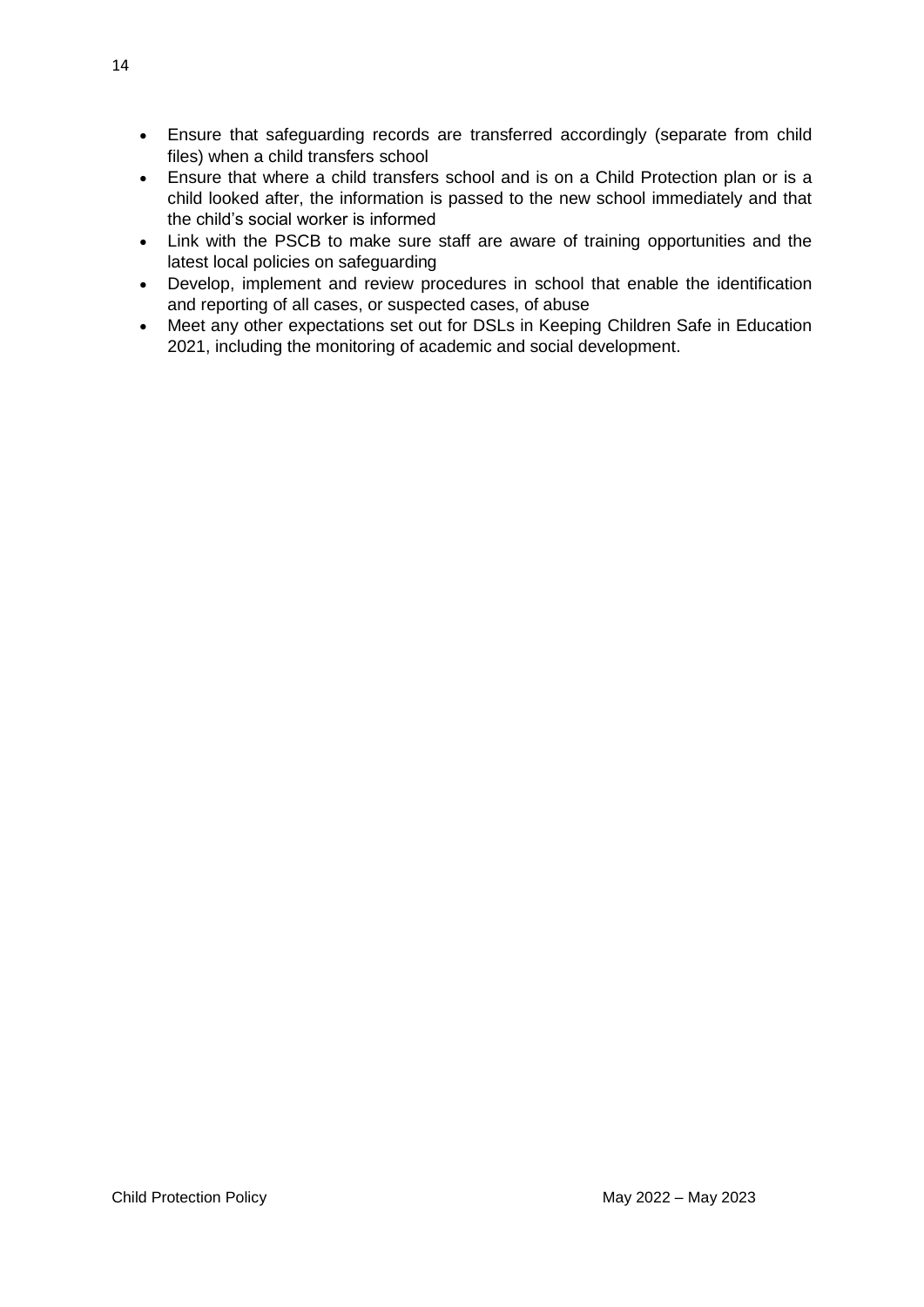- Ensure that safeguarding records are transferred accordingly (separate from child files) when a child transfers school
- Ensure that where a child transfers school and is on a Child Protection plan or is a child looked after, the information is passed to the new school immediately and that the child's social worker is informed
- Link with the PSCB to make sure staff are aware of training opportunities and the latest local policies on safeguarding
- Develop, implement and review procedures in school that enable the identification and reporting of all cases, or suspected cases, of abuse
- Meet any other expectations set out for DSLs in Keeping Children Safe in Education 2021, including the monitoring of academic and social development.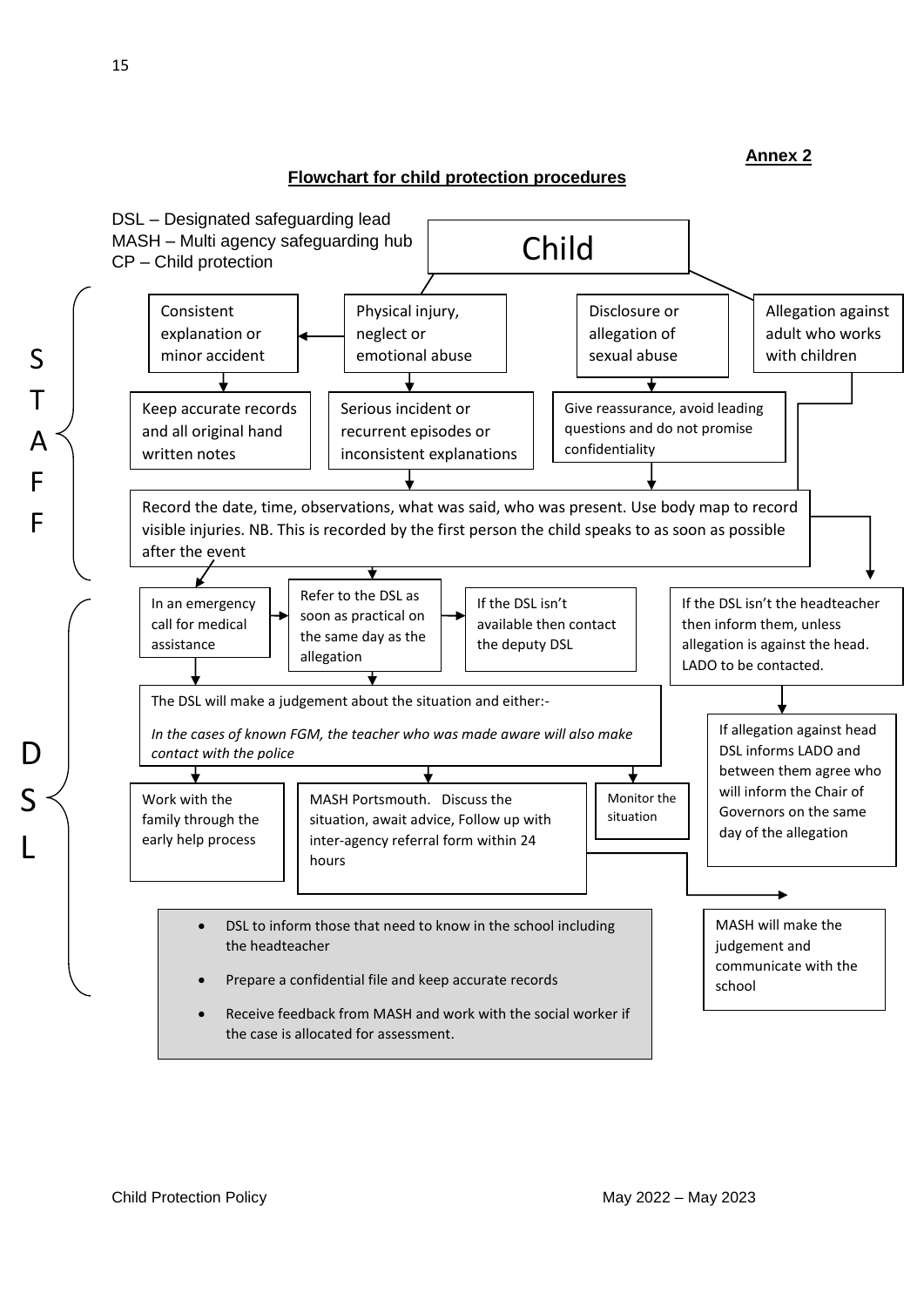#### **Flowchart for child protection procedures**

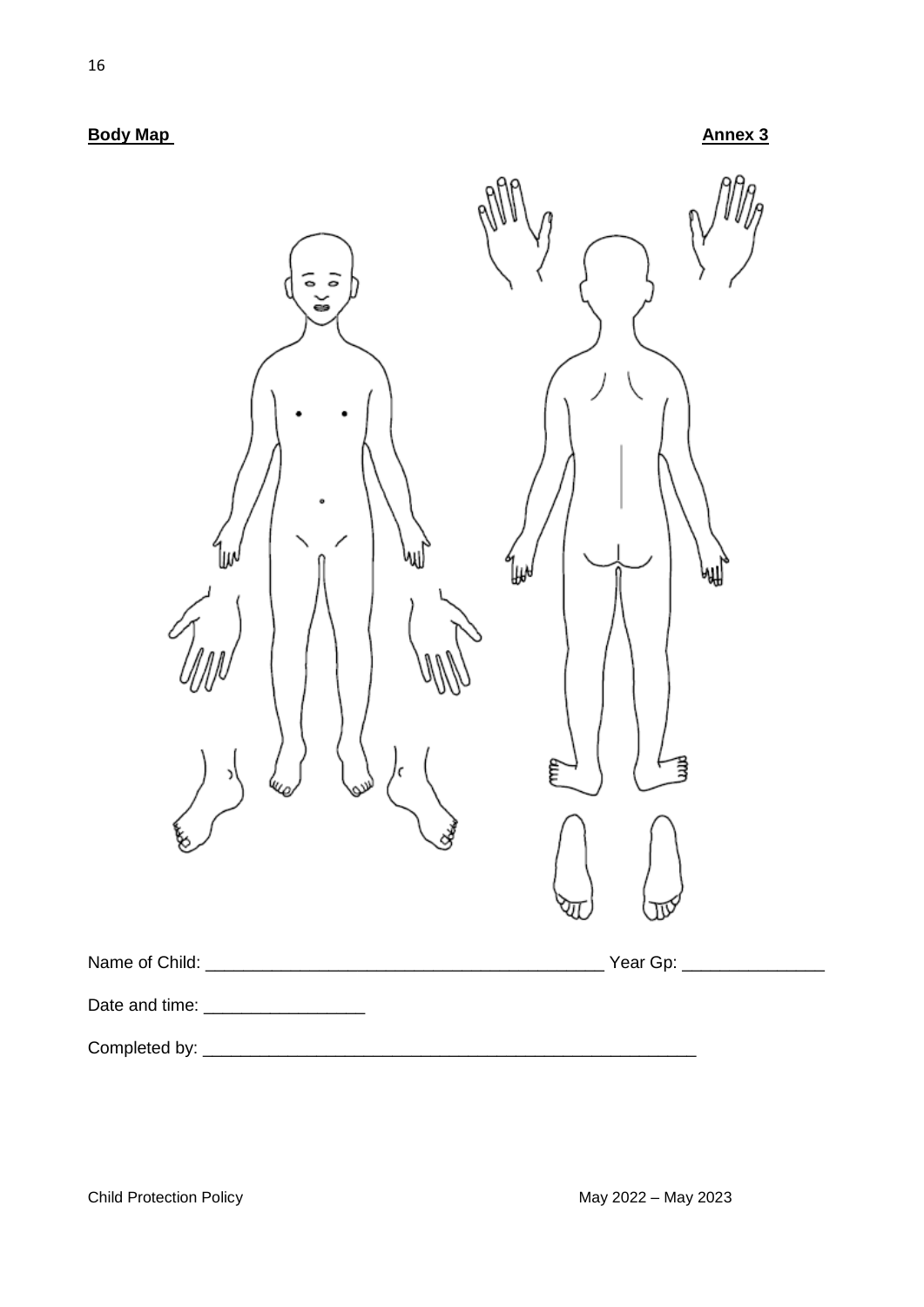**Body Map Annex 3** 

| $\frac{1}{2}$<br>š<br>₩<br>w<br>ర | ⊮<br>₩<br>員<br>Ę |
|-----------------------------------|------------------|
|                                   |                  |
| Date and time: __________________ |                  |
|                                   |                  |

Child Protection Policy **May 2022** – May 2023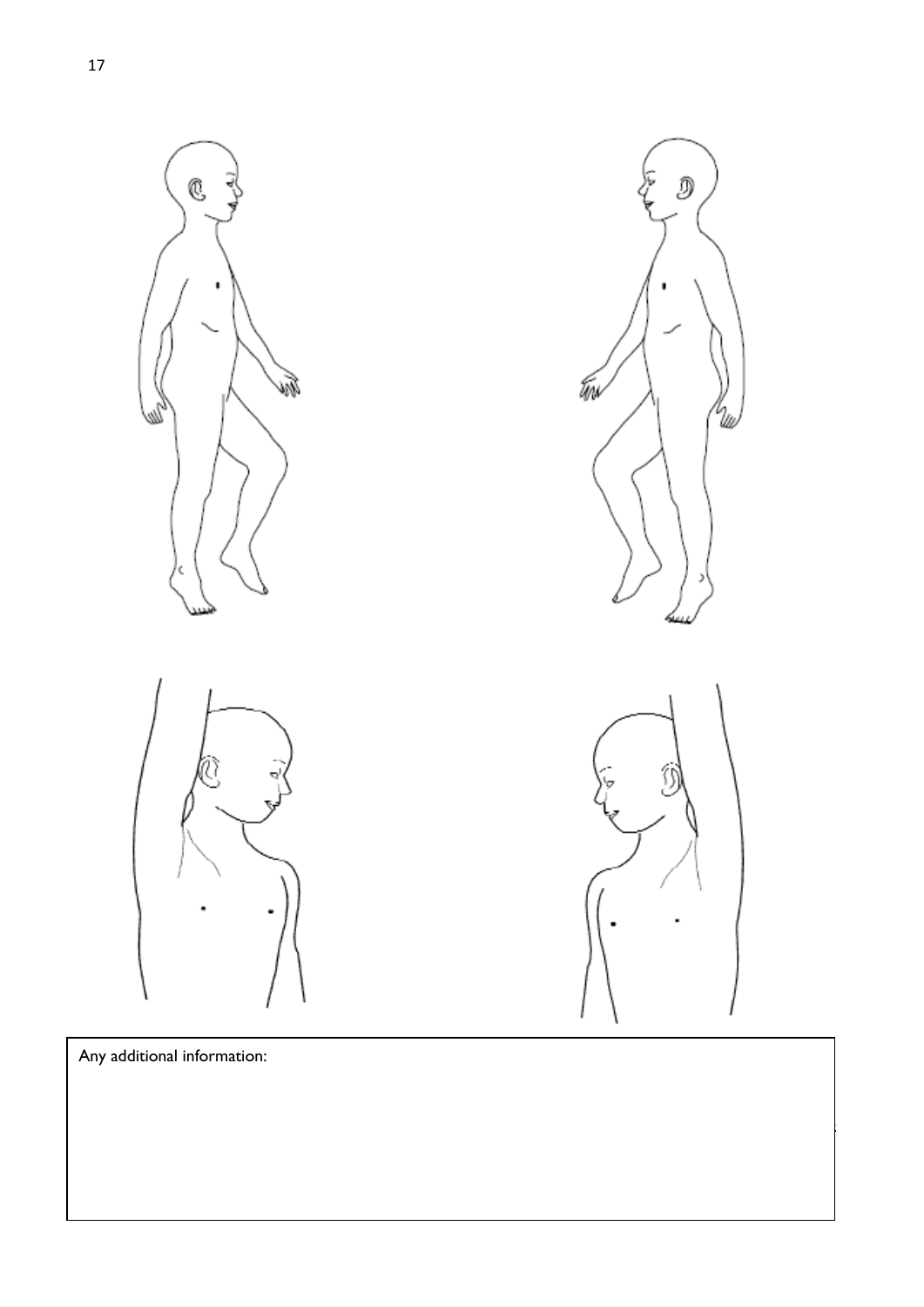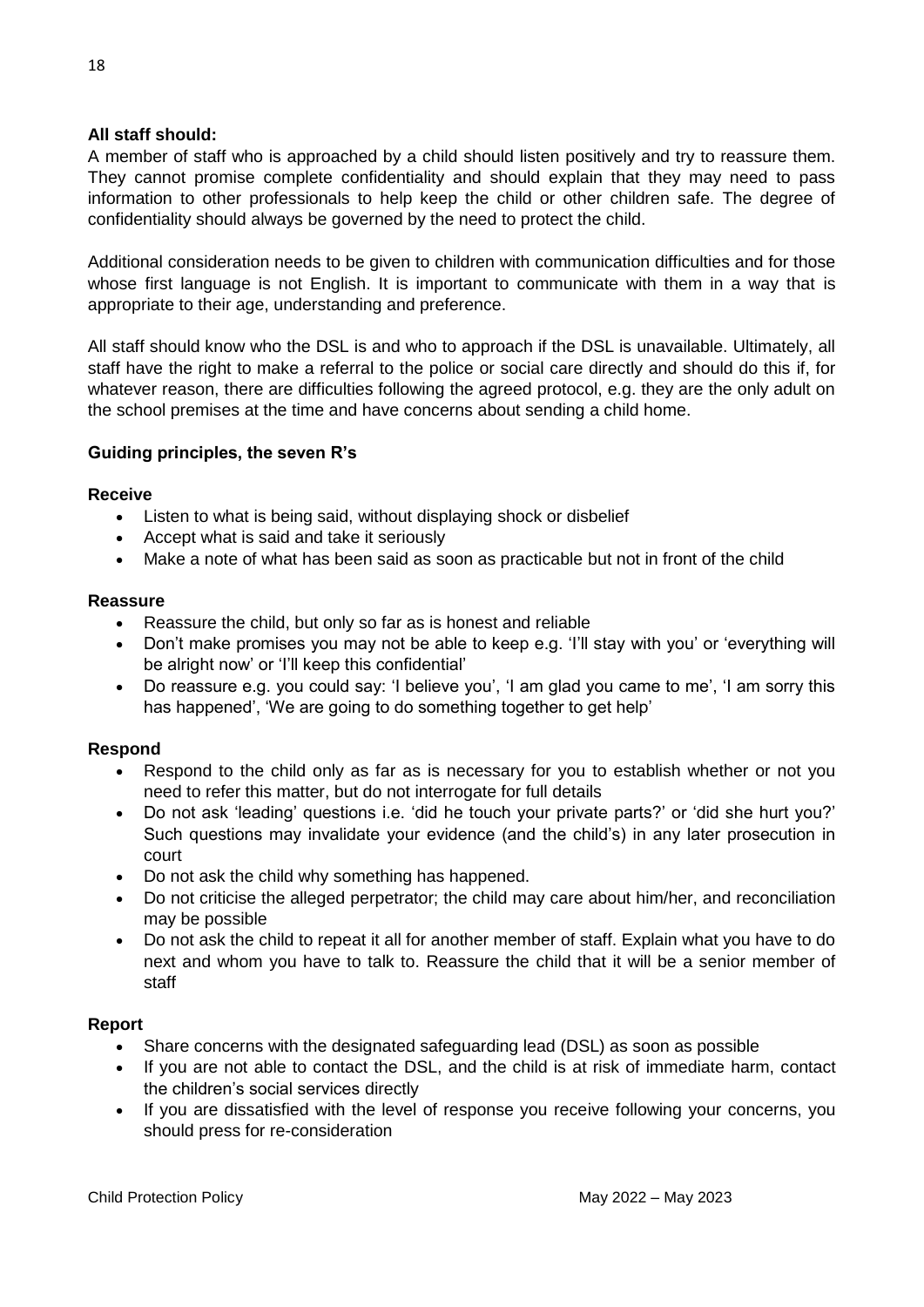# **All staff should:**

A member of staff who is approached by a child should listen positively and try to reassure them. They cannot promise complete confidentiality and should explain that they may need to pass information to other professionals to help keep the child or other children safe. The degree of confidentiality should always be governed by the need to protect the child.

Additional consideration needs to be given to children with communication difficulties and for those whose first language is not English. It is important to communicate with them in a way that is appropriate to their age, understanding and preference.

All staff should know who the DSL is and who to approach if the DSL is unavailable. Ultimately, all staff have the right to make a referral to the police or social care directly and should do this if, for whatever reason, there are difficulties following the agreed protocol, e.g. they are the only adult on the school premises at the time and have concerns about sending a child home.

# **Guiding principles, the seven R's**

# **Receive**

- Listen to what is being said, without displaying shock or disbelief
- Accept what is said and take it seriously
- Make a note of what has been said as soon as practicable but not in front of the child

#### **Reassure**

- Reassure the child, but only so far as is honest and reliable
- Don't make promises you may not be able to keep e.g. 'I'll stay with you' or 'everything will be alright now' or 'I'll keep this confidential'
- Do reassure e.g. you could say: 'I believe you', 'I am glad you came to me', 'I am sorry this has happened', 'We are going to do something together to get help'

# **Respond**

- Respond to the child only as far as is necessary for you to establish whether or not you need to refer this matter, but do not interrogate for full details
- Do not ask 'leading' questions i.e. 'did he touch your private parts?' or 'did she hurt you?' Such questions may invalidate your evidence (and the child's) in any later prosecution in court
- Do not ask the child why something has happened.
- Do not criticise the alleged perpetrator; the child may care about him/her, and reconciliation may be possible
- Do not ask the child to repeat it all for another member of staff. Explain what you have to do next and whom you have to talk to. Reassure the child that it will be a senior member of staff

# **Report**

- Share concerns with the designated safeguarding lead (DSL) as soon as possible
- If you are not able to contact the DSL, and the child is at risk of immediate harm, contact the children's social services directly
- If you are dissatisfied with the level of response you receive following your concerns, you should press for re-consideration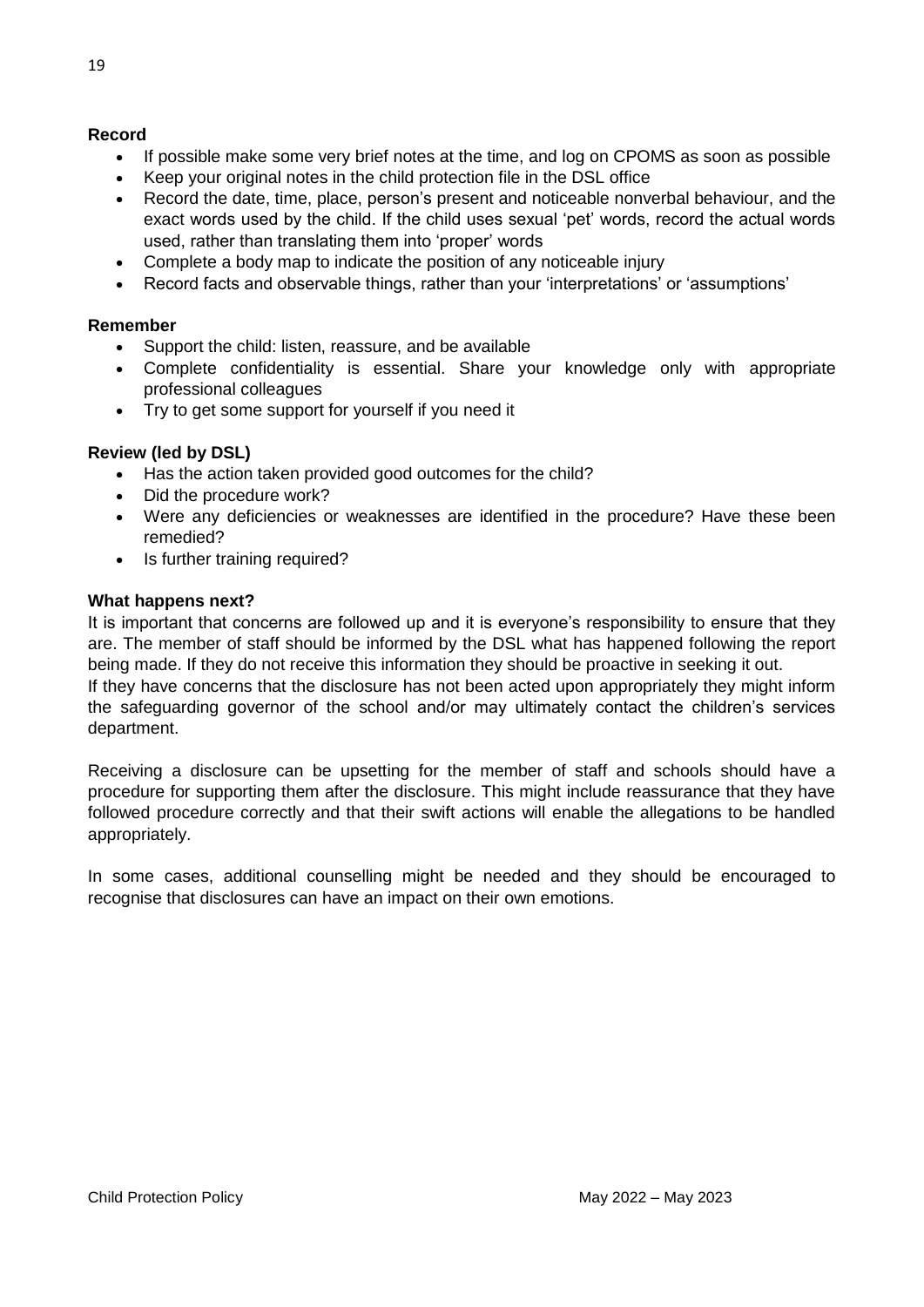#### **Record**

- If possible make some very brief notes at the time, and log on CPOMS as soon as possible
- Keep your original notes in the child protection file in the DSL office
- Record the date, time, place, person's present and noticeable nonverbal behaviour, and the exact words used by the child. If the child uses sexual 'pet' words, record the actual words used, rather than translating them into 'proper' words
- Complete a body map to indicate the position of any noticeable injury
- Record facts and observable things, rather than your 'interpretations' or 'assumptions'

#### **Remember**

- Support the child: listen, reassure, and be available
- Complete confidentiality is essential. Share your knowledge only with appropriate professional colleagues
- Try to get some support for yourself if you need it

#### **Review (led by DSL)**

- Has the action taken provided good outcomes for the child?
- Did the procedure work?
- Were any deficiencies or weaknesses are identified in the procedure? Have these been remedied?
- Is further training required?

#### **What happens next?**

It is important that concerns are followed up and it is everyone's responsibility to ensure that they are. The member of staff should be informed by the DSL what has happened following the report being made. If they do not receive this information they should be proactive in seeking it out. If they have concerns that the disclosure has not been acted upon appropriately they might inform the safeguarding governor of the school and/or may ultimately contact the children's services department.

Receiving a disclosure can be upsetting for the member of staff and schools should have a procedure for supporting them after the disclosure. This might include reassurance that they have followed procedure correctly and that their swift actions will enable the allegations to be handled appropriately.

In some cases, additional counselling might be needed and they should be encouraged to recognise that disclosures can have an impact on their own emotions.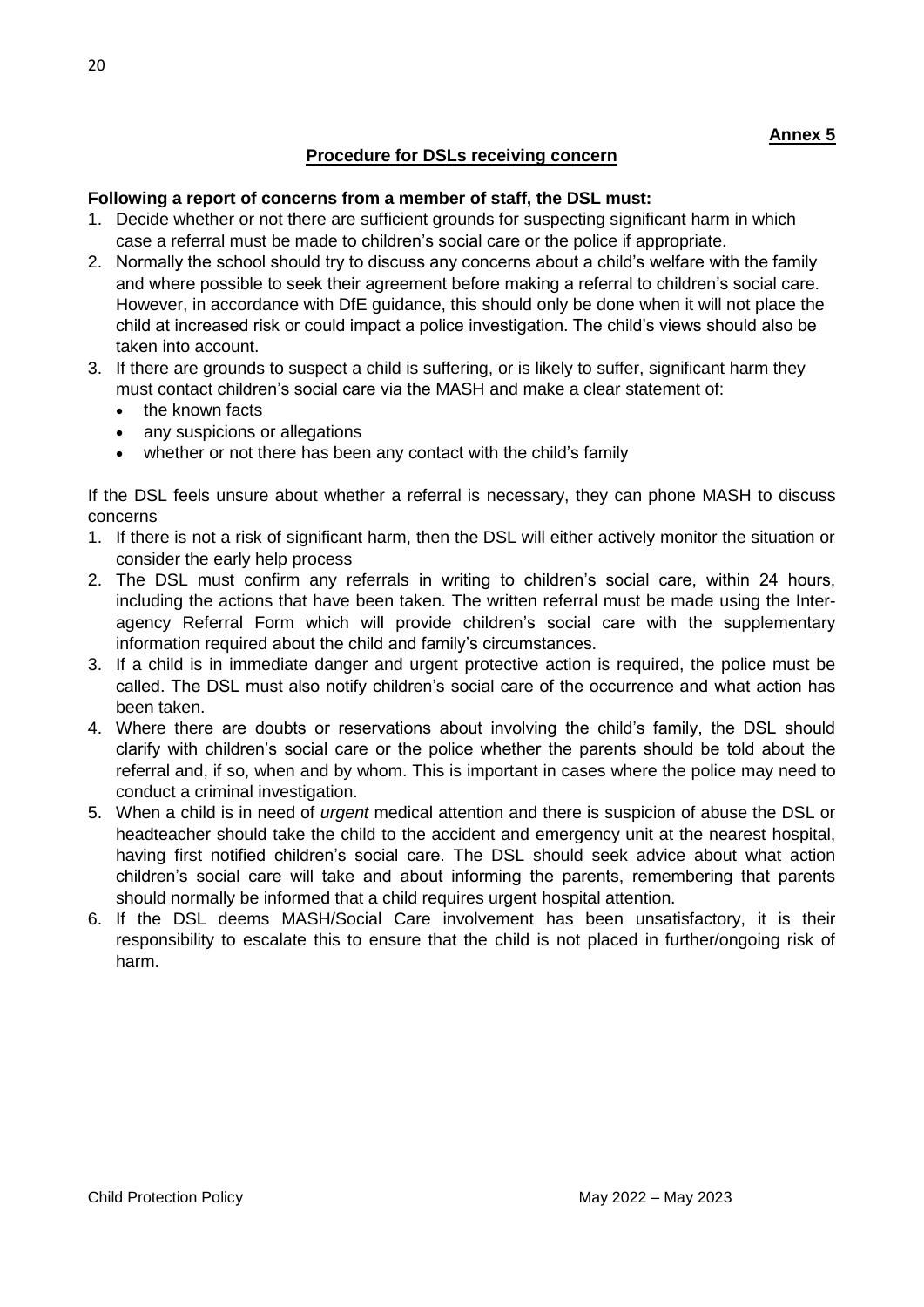# **Procedure for DSLs receiving concern**

#### **Following a report of concerns from a member of staff, the DSL must:**

- 1. Decide whether or not there are sufficient grounds for suspecting significant harm in which case a referral must be made to children's social care or the police if appropriate.
- 2. Normally the school should try to discuss any concerns about a child's welfare with the family and where possible to seek their agreement before making a referral to children's social care. However, in accordance with DfE guidance, this should only be done when it will not place the child at increased risk or could impact a police investigation. The child's views should also be taken into account.
- 3. If there are grounds to suspect a child is suffering, or is likely to suffer, significant harm they must contact children's social care via the MASH and make a clear statement of:
	- the known facts
	- any suspicions or allegations
	- whether or not there has been any contact with the child's family

If the DSL feels unsure about whether a referral is necessary, they can phone MASH to discuss concerns

- 1. If there is not a risk of significant harm, then the DSL will either actively monitor the situation or consider the early help process
- 2. The DSL must confirm any referrals in writing to children's social care, within 24 hours, including the actions that have been taken. The written referral must be made using the Interagency Referral Form which will provide children's social care with the supplementary information required about the child and family's circumstances.
- 3. If a child is in immediate danger and urgent protective action is required, the police must be called. The DSL must also notify children's social care of the occurrence and what action has been taken.
- 4. Where there are doubts or reservations about involving the child's family, the DSL should clarify with children's social care or the police whether the parents should be told about the referral and, if so, when and by whom. This is important in cases where the police may need to conduct a criminal investigation.
- 5. When a child is in need of *urgent* medical attention and there is suspicion of abuse the DSL or headteacher should take the child to the accident and emergency unit at the nearest hospital, having first notified children's social care. The DSL should seek advice about what action children's social care will take and about informing the parents, remembering that parents should normally be informed that a child requires urgent hospital attention.
- 6. If the DSL deems MASH/Social Care involvement has been unsatisfactory, it is their responsibility to escalate this to ensure that the child is not placed in further/ongoing risk of harm.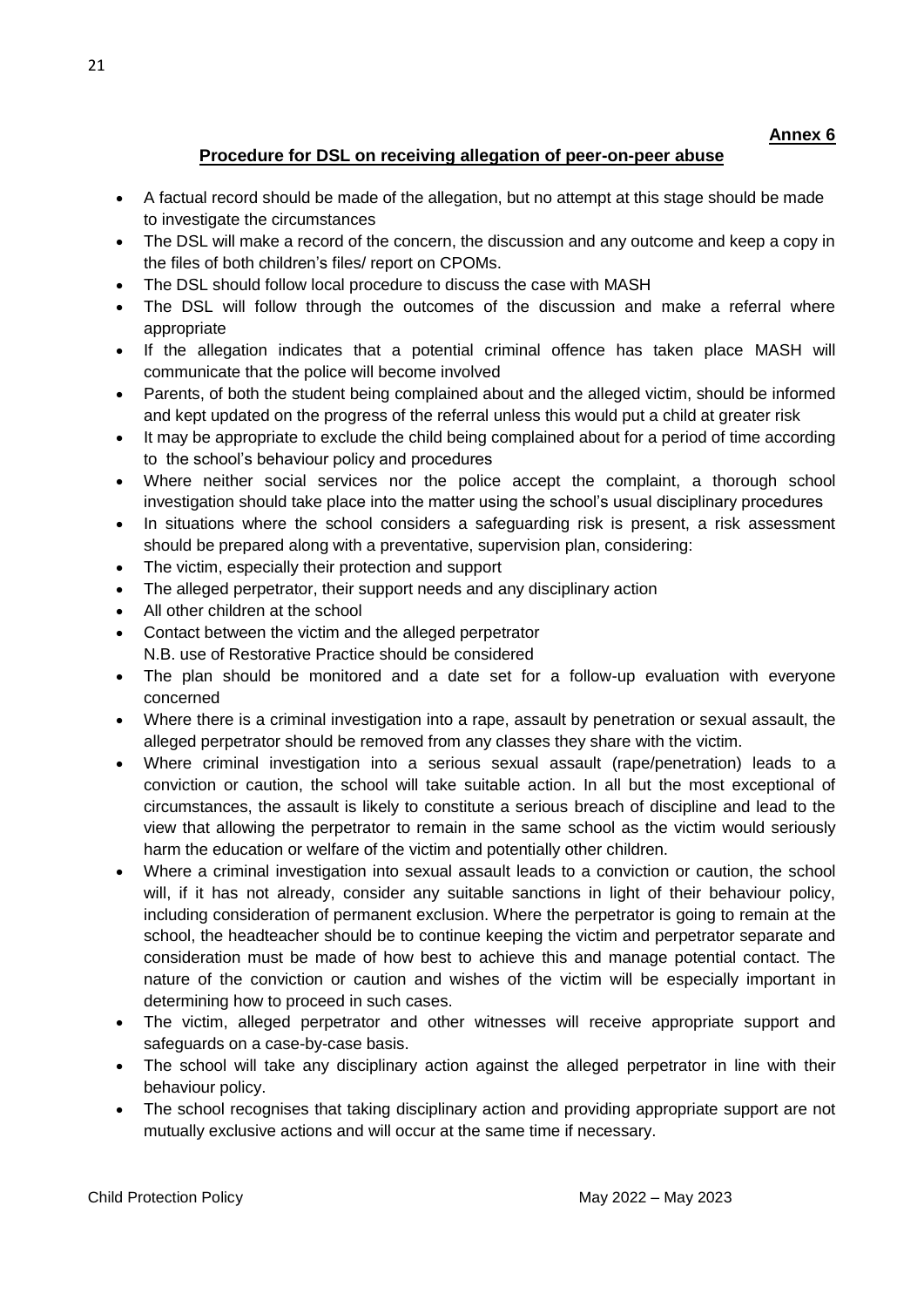# **Procedure for DSL on receiving allegation of peer-on-peer abuse**

- A factual record should be made of the allegation, but no attempt at this stage should be made to investigate the circumstances
- The DSL will make a record of the concern, the discussion and any outcome and keep a copy in the files of both children's files/ report on CPOMs.
- The DSL should follow local procedure to discuss the case with MASH
- The DSL will follow through the outcomes of the discussion and make a referral where appropriate
- If the allegation indicates that a potential criminal offence has taken place MASH will communicate that the police will become involved
- Parents, of both the student being complained about and the alleged victim, should be informed and kept updated on the progress of the referral unless this would put a child at greater risk
- It may be appropriate to exclude the child being complained about for a period of time according to the school's behaviour policy and procedures
- Where neither social services nor the police accept the complaint, a thorough school investigation should take place into the matter using the school's usual disciplinary procedures
- In situations where the school considers a safeguarding risk is present, a risk assessment should be prepared along with a preventative, supervision plan, considering:
- The victim, especially their protection and support
- The alleged perpetrator, their support needs and any disciplinary action
- All other children at the school
- Contact between the victim and the alleged perpetrator N.B. use of Restorative Practice should be considered
- The plan should be monitored and a date set for a follow-up evaluation with everyone concerned
- Where there is a criminal investigation into a rape, assault by penetration or sexual assault, the alleged perpetrator should be removed from any classes they share with the victim.
- Where criminal investigation into a serious sexual assault (rape/penetration) leads to a conviction or caution, the school will take suitable action. In all but the most exceptional of circumstances, the assault is likely to constitute a serious breach of discipline and lead to the view that allowing the perpetrator to remain in the same school as the victim would seriously harm the education or welfare of the victim and potentially other children.
- Where a criminal investigation into sexual assault leads to a conviction or caution, the school will, if it has not already, consider any suitable sanctions in light of their behaviour policy, including consideration of permanent exclusion. Where the perpetrator is going to remain at the school, the headteacher should be to continue keeping the victim and perpetrator separate and consideration must be made of how best to achieve this and manage potential contact. The nature of the conviction or caution and wishes of the victim will be especially important in determining how to proceed in such cases.
- The victim, alleged perpetrator and other witnesses will receive appropriate support and safeguards on a case-by-case basis.
- The school will take any disciplinary action against the alleged perpetrator in line with their behaviour policy.
- The school recognises that taking disciplinary action and providing appropriate support are not mutually exclusive actions and will occur at the same time if necessary.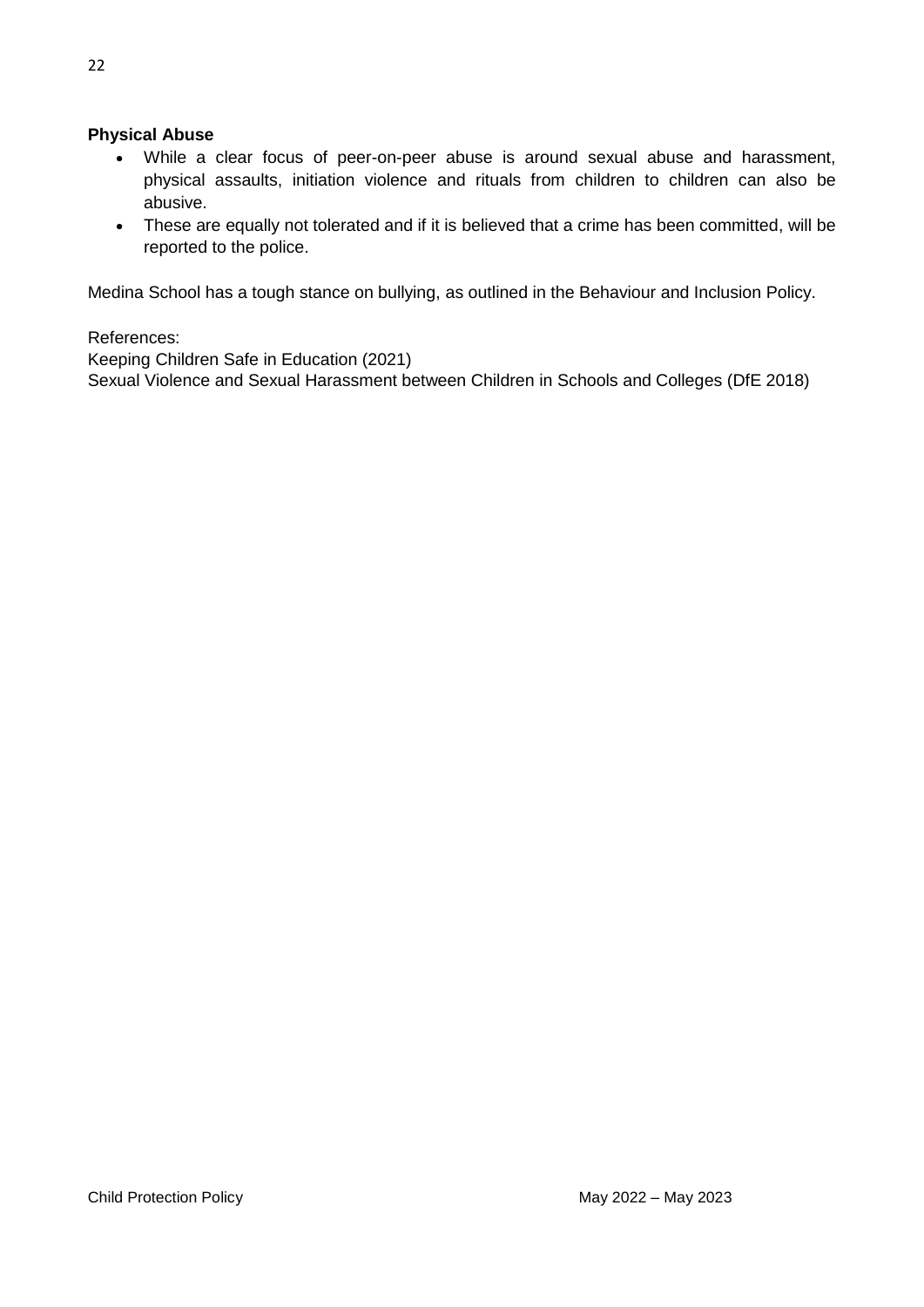# **Physical Abuse**

- While a clear focus of peer-on-peer abuse is around sexual abuse and harassment, physical assaults, initiation violence and rituals from children to children can also be abusive.
- These are equally not tolerated and if it is believed that a crime has been committed, will be reported to the police.

Medina School has a tough stance on bullying, as outlined in the Behaviour and Inclusion Policy.

References:

Keeping Children Safe in Education (2021)

Sexual Violence and Sexual Harassment between Children in Schools and Colleges (DfE 2018)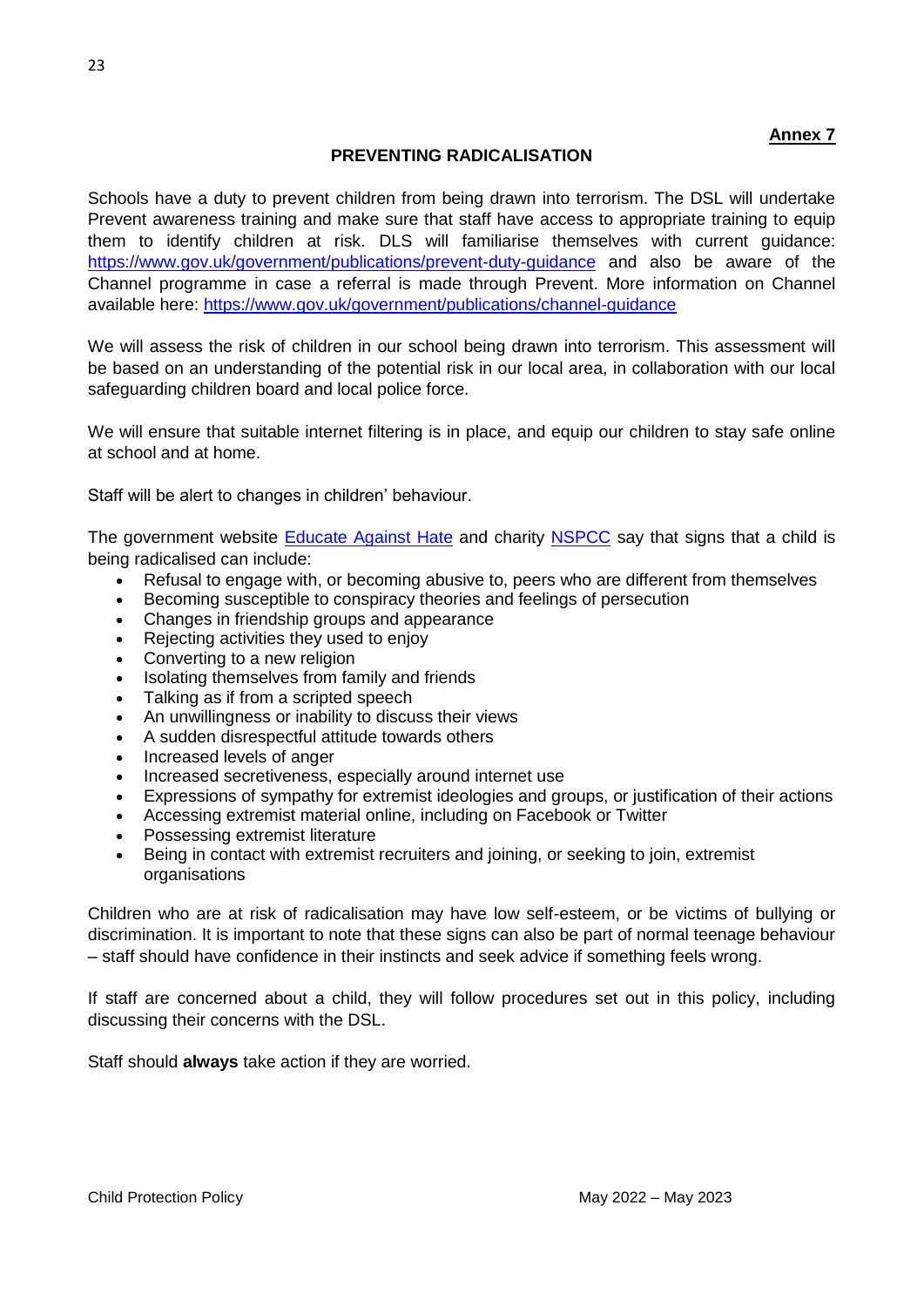# **PREVENTING RADICALISATION**

Schools have a duty to prevent children from being drawn into terrorism. The DSL will undertake Prevent awareness training and make sure that staff have access to appropriate training to equip them to identify children at risk. DLS will familiarise themselves with current guidance: <https://www.gov.uk/government/publications/prevent-duty-guidance> and also be aware of the Channel programme in case a referral is made through Prevent. More information on Channel available here: https://www.gov.uk/government/publications/channel-quidance

We will assess the risk of children in our school being drawn into terrorism. This assessment will be based on an understanding of the potential risk in our local area, in collaboration with our local safeguarding children board and local police force.

We will ensure that suitable internet filtering is in place, and equip our children to stay safe online at school and at home.

Staff will be alert to changes in children' behaviour.

The government website [Educate Against Hate](http://educateagainsthate.com/parents/what-are-the-warning-signs/) and charity [NSPCC](https://www.nspcc.org.uk/what-you-can-do/report-abuse/dedicated-helplines/protecting-children-from-radicalisation/) say that signs that a child is being radicalised can include:

- Refusal to engage with, or becoming abusive to, peers who are different from themselves
- Becoming susceptible to conspiracy theories and feelings of persecution
- Changes in friendship groups and appearance
- Rejecting activities they used to enjoy
- Converting to a new religion
- Isolating themselves from family and friends
- Talking as if from a scripted speech
- An unwillingness or inability to discuss their views
- A sudden disrespectful attitude towards others
- Increased levels of anger
- Increased secretiveness, especially around internet use
- Expressions of sympathy for extremist ideologies and groups, or justification of their actions
- Accessing extremist material online, including on Facebook or Twitter
- Possessing extremist literature
- Being in contact with extremist recruiters and joining, or seeking to join, extremist organisations

Children who are at risk of radicalisation may have low self-esteem, or be victims of bullying or discrimination. It is important to note that these signs can also be part of normal teenage behaviour – staff should have confidence in their instincts and seek advice if something feels wrong.

If staff are concerned about a child, they will follow procedures set out in this policy, including discussing their concerns with the DSL.

Staff should **always** take action if they are worried.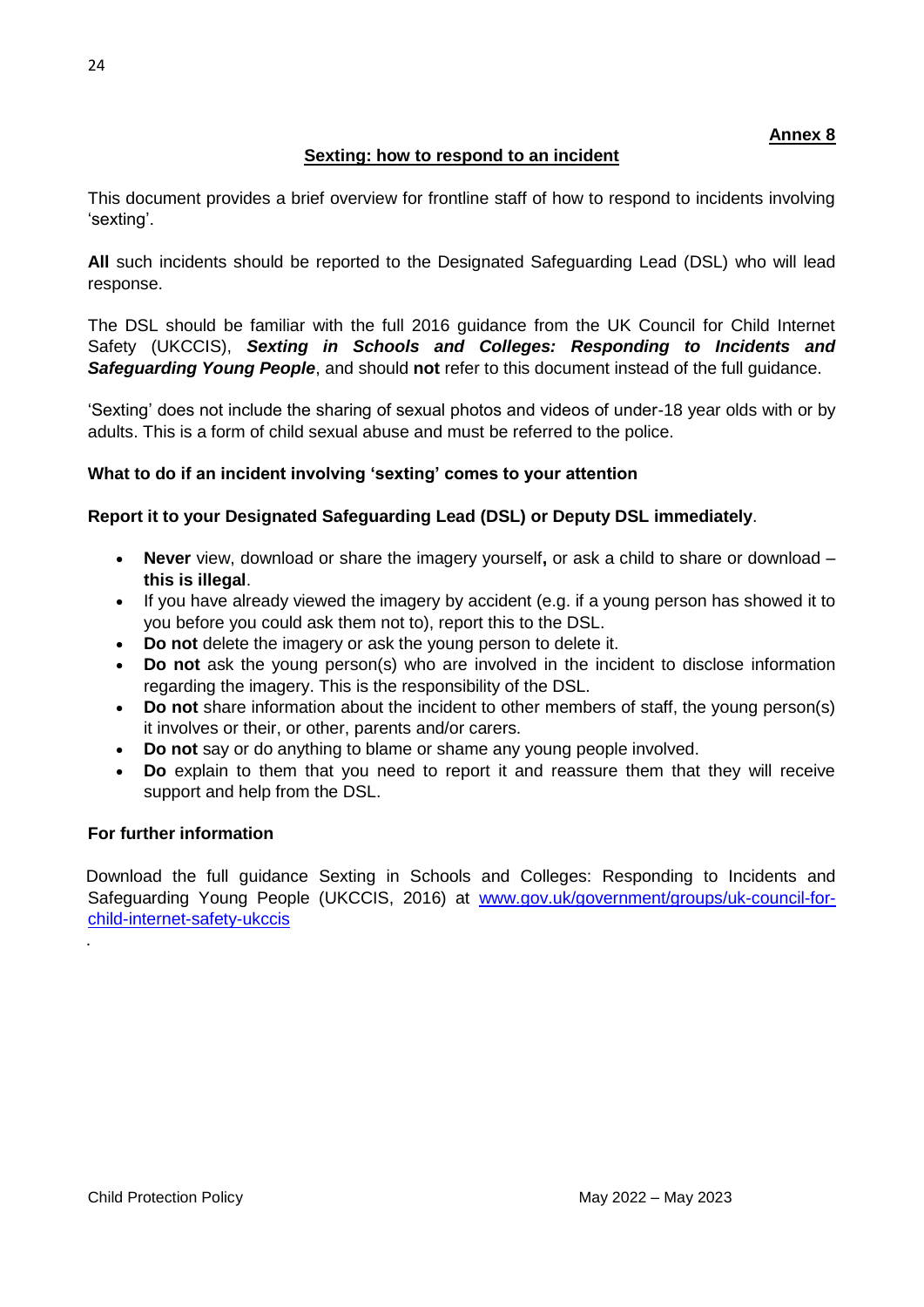# **Sexting: how to respond to an incident**

This document provides a brief overview for frontline staff of how to respond to incidents involving 'sexting'.

**All** such incidents should be reported to the Designated Safeguarding Lead (DSL) who will lead response.

The DSL should be familiar with the full 2016 guidance from the UK Council for Child Internet Safety (UKCCIS), *Sexting in Schools and Colleges: Responding to Incidents and*  **Safeguarding Young People**, and should not refer to this document instead of the full guidance.

'Sexting' does not include the sharing of sexual photos and videos of under-18 year olds with or by adults. This is a form of child sexual abuse and must be referred to the police.

# **What to do if an incident involving 'sexting' comes to your attention**

# **Report it to your Designated Safeguarding Lead (DSL) or Deputy DSL immediately**.

- **Never** view, download or share the imagery yourself**,** or ask a child to share or download **this is illegal**.
- If you have already viewed the imagery by accident (e.g. if a young person has showed it to you before you could ask them not to), report this to the DSL.
- **Do not** delete the imagery or ask the young person to delete it.
- **Do not** ask the young person(s) who are involved in the incident to disclose information regarding the imagery. This is the responsibility of the DSL.
- Do not share information about the incident to other members of staff, the young person(s) it involves or their, or other, parents and/or carers.
- **Do not** say or do anything to blame or shame any young people involved.
- **Do** explain to them that you need to report it and reassure them that they will receive support and help from the DSL.

# **For further information**

.

Download the full guidance Sexting in Schools and Colleges: Responding to Incidents and Safeguarding Young People (UKCCIS, 2016) at [www.gov.uk/government/groups/uk-council-for](http://www.gov.uk/government/groups/uk-council-for-child-internet-safety-ukccis)[child-internet-safety-ukccis](http://www.gov.uk/government/groups/uk-council-for-child-internet-safety-ukccis)